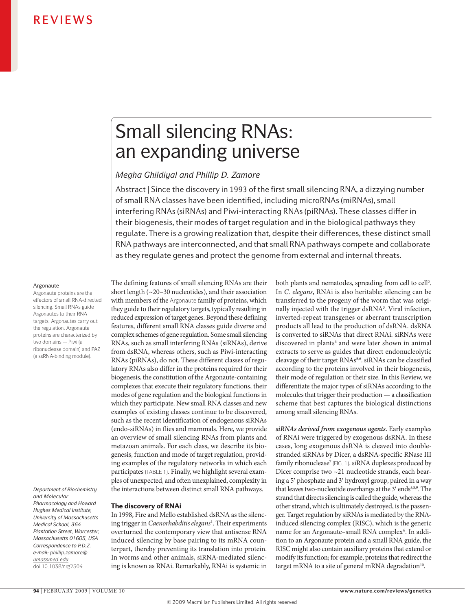# Small silencing RNAs: an expanding universe

### *Megha Ghildiyal and Phillip D. Zamore*

Abstract | Since the discovery in 1993 of the first small silencing RNA, a dizzying number of small RNA classes have been identified, including microRNAs (miRNAs), small interfering RNAs (siRNAs) and Piwi-interacting RNAs (piRNAs). These classes differ in their biogenesis, their modes of target regulation and in the biological pathways they regulate. There is a growing realization that, despite their differences, these distinct small RNA pathways are interconnected, and that small RNA pathways compete and collaborate as they regulate genes and protect the genome from external and internal threats.

### Argonaute

Argonaute proteins are the effectors of small RNA-directed silencing. Small RNAs guide Argonautes to their RNA targets; Argonautes carry out the regulation. Argonaute proteins are characterized by two domains — Piwi (a ribonuclease domain) and PAZ (a ssRNA-binding module).

*Department of Biochemistry and Molecular Pharmacology and Howard Hughes Medical Institute, University of Massachusetts Medical School, 364 Plantation Street, Worcester, Massachusetts 01605, USA Correspondence to P.D.Z. e‑mail: [phillip.zamore@](mailto:phillip.zamore@umassmed.edu) [umassmed.edu](mailto:phillip.zamore@umassmed.edu)* doi:10.1038/nrg2504

The defining features of small silencing RNAs are their short length (~20–30 nucleotides), and their association with members of the Argonaute family of proteins, which they guide to their regulatory targets, typically resulting in reduced expression of target genes. Beyond these defining features, different small RNA classes guide diverse and complex schemes of gene regulation. Some small silencing RNAs, such as small interfering RNAs (siRNAs), derive from dsRNA, whereas others, such as Piwi-interacting RNAs (piRNAs), do not. These different classes of regulatory RNAs also differ in the proteins required for their biogenesis, the constitution of the Argonaute-containing complexes that execute their regulatory functions, their modes of gene regulation and the biological functions in which they participate. New small RNA classes and new examples of existing classes continue to be discovered, such as the recent identification of endogenous siRNAs (endo-siRNAs) in flies and mammals. Here, we provide an overview of small silencing RNAs from plants and metazoan animals. For each class, we describe its biogenesis, function and mode of target regulation, providing examples of the regulatory networks in which each participates (TABLE 1). Finally, we highlight several examples of unexpected, and often unexplained, complexity in the interactions between distinct small RNA pathways.

### The discovery of RNAi

In 1998, Fire and Mello established dsRNA as the silencing trigger in *Caenorhabditis elegans*<sup>1</sup> . Their experiments overturned the contemporary view that antisense RNA induced silencing by base pairing to its mRNA counterpart, thereby preventing its translation into protein. In worms and other animals, siRNA-mediated silencing is known as RNAi. Remarkably, RNAi is systemic in

both plants and nematodes, spreading from cell to cell<sup>2</sup>. In *C. elegans*, RNAi is also heritable: silencing can be transferred to the progeny of the worm that was originally injected with the trigger dsRNA<sup>3</sup>. Viral infection, inverted-repeat transgenes or aberrant transcription products all lead to the production of dsRNA. dsRNA is converted to siRNAs that direct RNAi. siRNAs were discovered in plants<sup>4</sup> and were later shown in animal extracts to serve as guides that direct endonucleolytic cleavage of their target RNAs<sup>5,6</sup>. siRNAs can be classified according to the proteins involved in their biogenesis, their mode of regulation or their size. In this Review, we differentiate the major types of siRNAs according to the molecules that trigger their production — a classification scheme that best captures the biological distinctions among small silencing RNAs.

*siRNAs derived from exogenous agents.* Early examples of RNAi were triggered by exogenous dsRNA. In these cases, long exogenous dsRNA is cleaved into doublestranded siRNAs by Dicer, a dsRNA-specific RNase III family ribonuclease<sup>7</sup> (FIG. 1). siRNA duplexes produced by Dicer comprise two ~21 nucleotide strands, each bearing a 5′ phosphate and 3′ hydroxyl group, paired in a way that leaves two-nucleotide overhangs at the 3' ends<sup>5,8,9</sup>. The strand that directs silencing is called the guide, whereas the other strand, which is ultimately destroyed, is the passenger. Target regulation by siRNAs is mediated by the RNAinduced silencing complex (RISC), which is the generic name for an Argonaute-small RNA complex<sup>6</sup>. In addition to an Argonaute protein and a small RNA guide, the RISC might also contain auxiliary proteins that extend or modify its function; for example, proteins that redirect the target mRNA to a site of general mRNA degradation<sup>10</sup>.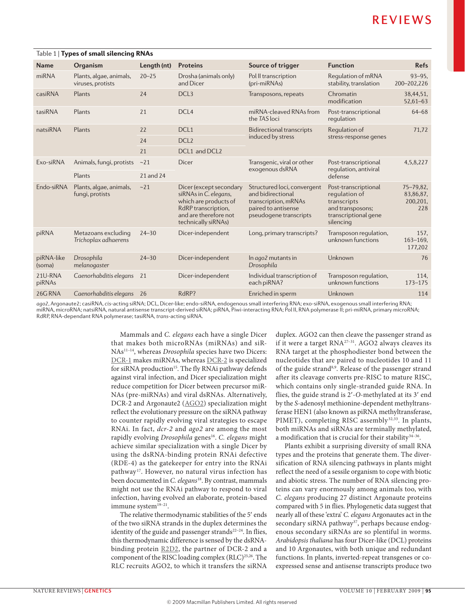| Table 1   Types of small silencing RNAs |                                              |             |                                                                                                                                                  |                                                                                                                           |                                                                                                               |                                               |
|-----------------------------------------|----------------------------------------------|-------------|--------------------------------------------------------------------------------------------------------------------------------------------------|---------------------------------------------------------------------------------------------------------------------------|---------------------------------------------------------------------------------------------------------------|-----------------------------------------------|
| <b>Name</b>                             | Organism                                     | Length (nt) | <b>Proteins</b>                                                                                                                                  | Source of trigger                                                                                                         | <b>Function</b>                                                                                               | <b>Refs</b>                                   |
| miRNA                                   | Plants, algae, animals,<br>viruses, protists | $20 - 25$   | Drosha (animals only)<br>and Dicer                                                                                                               | Pol II transcription<br>(pri-miRNAs)                                                                                      | Regulation of mRNA<br>stability, translation                                                                  | $93 - 95.$<br>200-202,226                     |
| casiRNA                                 | Plants                                       | 24          | DCL <sub>3</sub>                                                                                                                                 | Transposons, repeats                                                                                                      | Chromatin<br>modification                                                                                     | 38,44,51,<br>$52,61-63$                       |
| tasiRNA                                 | Plants                                       | 21          | DCL <sub>4</sub>                                                                                                                                 | miRNA-cleaved RNAs from<br>the TAS loci                                                                                   | Post-transcriptional<br>regulation                                                                            | $64 - 68$                                     |
| natsiRNA                                | Plants                                       | 22          | DCL <sub>1</sub>                                                                                                                                 | <b>Bidirectional transcripts</b><br>induced by stress                                                                     | Regulation of<br>stress-response genes                                                                        | 71,72                                         |
|                                         |                                              | 24          | DCL <sub>2</sub>                                                                                                                                 |                                                                                                                           |                                                                                                               |                                               |
|                                         |                                              | 21          | DCL1 and DCL2                                                                                                                                    |                                                                                                                           |                                                                                                               |                                               |
| Exo-siRNA                               | Animals, fungi, protists                     | ~21         | <b>Dicer</b>                                                                                                                                     | Transgenic, viral or other<br>exogenous dsRNA                                                                             | Post-transcriptional<br>regulation, antiviral<br>defense                                                      | 4, 5, 8, 227                                  |
|                                         | Plants                                       | 21 and 24   |                                                                                                                                                  |                                                                                                                           |                                                                                                               |                                               |
| Endo-siRNA                              | Plants, algae, animals,<br>fungi, protists   | ~21         | Dicer (except secondary<br>siRNAs in C. elegans,<br>which are products of<br>RdRP transcription,<br>and are therefore not<br>technically siRNAs) | Structured loci, convergent<br>and bidirectional<br>transcription, mRNAs<br>paired to antisense<br>pseudogene transcripts | Post-transcriptional<br>regulation of<br>transcripts<br>and transposons;<br>transcriptional gene<br>silencing | $75 - 79,82,$<br>83,86,87,<br>200,201,<br>228 |
| piRNA                                   | Metazoans excluding<br>Trichoplax adhaerens  | $24 - 30$   | Dicer-independent                                                                                                                                | Long, primary transcripts?                                                                                                | Transposon regulation,<br>unknown functions                                                                   | 157,<br>$163 - 169$ ,<br>177,202              |
| piRNA-like<br>(soma)                    | Drosophila<br>melanogaster                   | $24 - 30$   | Dicer-independent                                                                                                                                | In ago2 mutants in<br>Drosophila                                                                                          | Unknown                                                                                                       | 76                                            |
| 21U-RNA<br>piRNAs                       | Caenorhabditis elegans                       | 21          | Dicer-independent                                                                                                                                | Individual transcription of<br>each piRNA?                                                                                | Transposon regulation,<br>unknown functions                                                                   | 114,<br>$173 - 175$                           |
| 26G RNA                                 | Caenorhabditis elegans 26                    |             | RdRP?                                                                                                                                            | Enriched in sperm                                                                                                         | Unknown                                                                                                       | 114                                           |
|                                         |                                              |             |                                                                                                                                                  |                                                                                                                           |                                                                                                               |                                               |

*ago2*, Argonaute2; casiRNA, *cis*-acting siRNA; DCL, Dicer-like; endo-siRNA, endogenoussmall interfering RNA; exo-siRNA, exogenous small interfering RNA; miRNA, microRNA; natsiRNA, natural antisense transcript-derived siRNA; piRNA, Piwi-interacting RNA; Pol II, RNA polymerase II; pri-miRNA, primary microRNA; RdRP, RNA-dependant RNA polymerase; tasiRNA, *trans*-acting siRNA.

> Mammals and *C. elegans* each have a single Dicer that makes both microRNAs (miRNAs) and siR-NAs11–14, whereas *Drosophila* species have two Dicers: [DCR-1](http://www.uniprot.org/uniprot/Q9VCU9) makes miRNAs, whereas [DCR-2](http://www.uniprot.org/uniprot/Q95YG3) is specialized for siRNA production<sup>15</sup>. The fly RNAi pathway defends against viral infection, and Dicer specialization might reduce competition for Dicer between precursor miR-NAs (pre-miRNAs) and viral dsRNAs. Alternatively, DCR-2 and Argonaute2 (AGO2) specialization might reflect the evolutionary pressure on the siRNA pathway to counter rapidly evolving viral strategies to escape RNAi. In fact, *dcr‑2* and *ago2* are among the most rapidly evolving *Drosophila* genes<sup>16</sup>. *C. elegans* might achieve similar specialization with a single Dicer by using the dsRNA-binding protein RNAi defective (RDE-4) as the gatekeeper for entry into the RNAi pathway<sup>17</sup>. However, no natural virus infection has been documented in *C. elegans*18. By contrast, mammals might not use the RNAi pathway to respond to viral infection, having evolved an elaborate, protein-based immune system<sup>19-21</sup>.

> The relative thermodynamic stabilities of the 5′ ends of the two siRNA strands in the duplex determines the identity of the guide and passenger strands<sup>22-24</sup>. In flies, this thermodynamic difference is sensed by the dsRNAbinding protein [R2D2](http://www.uniprot.org/uniprot/Q2Q0K8), the partner of DCR-2 and a component of the RISC loading complex (RLC)<sup>25,26</sup>. The RlC recruits AGo2, to which it transfers the siRNA

duplex. AGo2 can then cleave the passenger strand as if it were a target RNA<sup>27-31</sup>. AGO2 always cleaves its RNA target at the phosphodiester bond between the nucleotides that are paired to nucleotides 10 and 11 of the guide strand<sup>8,9</sup>. Release of the passenger strand after its cleavage converts pre-RISC to mature RISC, which contains only single-stranded guide RNA. In flies, the guide strand is 2′-*O*-methylated at its 3′ end by the *S*-adenosyl methionine-dependent methyltransferase HEN1 (also known as piRNA methyltransferase, PIMET), completing RISC assembly<sup>32,33</sup>. In plants, both miRNAs and siRNAs are terminally methylated, a modification that is crucial for their stability<sup>34-36</sup>.

Plants exhibit a surprising diversity of small RNA types and the proteins that generate them. The diversification of RNA silencing pathways in plants might reflect the need of a sessile organism to cope with biotic and abiotic stress. The number of RNA silencing proteins can vary enormously among animals too, with *C. elegans* producing 27 distinct Argonaute proteins compared with 5 in flies. Phylogenetic data suggest that nearly all of these 'extra' *C. elegans* Argonautes act in the secondary siRNA pathway<sup>37</sup>, perhaps because endogenous secondary siRNAs are so plentiful in worms. *Arabidopsis thaliana* has four Dicer-like (DCl) proteins and 10 Argonautes, with both unique and redundant functions. In plants, inverted-repeat transgenes or coexpressed sense and antisense transcripts produce two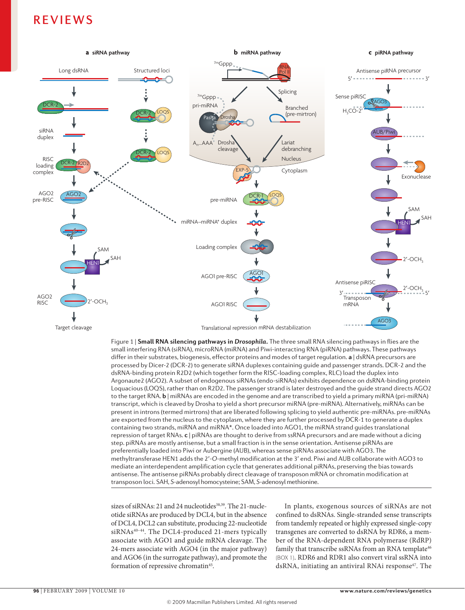

**Nature Reviews** | **Genetics** small interfering RNA (siRNA), microRNA (miRNA) and Piwi-interacting RNA (piRNA) pathways. These pathways Figure 1 | **Small RNA silencing pathways in** *Drosophila***.** The three small RNA silencing pathways in flies are the differ in their substrates, biogenesis, effector proteins and modes of target regulation. **a** | dsRNA precursors are processed by Dicer-2 (DCR-2) to generate siRNA duplexes containing guide and passenger strands. DCR-2 and the dsRNA-binding protein R2D2 (which together form the RISC-loading complex, RLC) load the duplex into Argonaute2 (AGO2). A subset of endogenous siRNAs (endo-siRNAs) exhibits dependence on dsRNA-binding protein Loquacious (LOQS), rather than on R2D2. The passenger strand is later destroyed and the guide strand directs AGO2 to the target RNA. **b** | miRNAs are encoded in the genome and are transcribed to yield a primary miRNA (pri-miRNA) transcript, which is cleaved by Drosha to yield a short precursor miRNA (pre-miRNA). Alternatively, miRNAs can be present in introns (termed mirtrons) that are liberated following splicing to yield authentic pre-miRNAs. pre-miRNAs are exported from the nucleus to the cytoplasm, where they are further processed by DCR-1 to generate a duplex containing two strands, miRNA and miRNA\*. Once loaded into AGO1, the miRNA strand guides translational repression of target RNAs. **c** | piRNAs are thought to derive from ssRNA precursors and are made without a dicing step. piRNAs are mostly antisense, but a small fraction is in the sense orientation. Antisense piRNAs are preferentially loaded into Piwi or Aubergine (AUB), whereas sense piRNAs associate with AGO3. The methyltransferase HEN1 adds the 2′-*O*-methyl modification at the 3′ end. Piwi and AUB collaborate with AGO3 to mediate an interdependent amplification cycle that generates additional piRNAs, preserving the bias towards antisense. The antisense piRNAs probably direct cleavage of transposon mRNA or chromatin modification at transposon loci. SAH, *S*-adenosyl homocysteine; SAM, *S*-adenosyl methionine.

sizes of siRNAs: 21 and 24 nucleotides<sup>38,39</sup>. The 21-nucleotide siRNAs are produced by DCl4, but in the absence of DCl4, DCl2 can substitute, producing 22-nucleotide siRNAs<sup>40-44</sup>. The DCL4-produced 21-mers typically associate with AGo1 and guide mRNA cleavage. The 24-mers associate with AGo4 (in the major pathway) and AGo6 (in the surrogate pathway), and promote the formation of repressive chromatin<sup>45</sup>.

In plants, exogenous sources of siRNAs are not confined to dsRNAs. Single-stranded sense transcripts from tandemly repeated or highly expressed single-copy transgenes are converted to dsRNA by RDR6, a member of the RNA-dependent RNA polymerase (RdRP) family that transcribe ssRNAs from an RNA template<sup>46</sup> (BOX 1). RDR6 and RDR1 also convert viral ssRNA into dsRNA, initiating an antiviral RNAi response<sup>47</sup>. The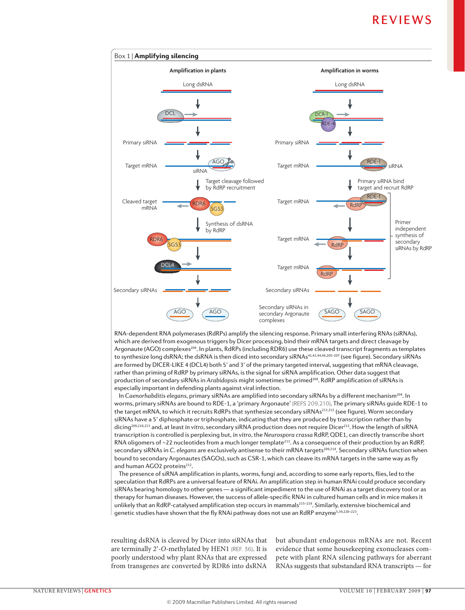

RNA-dependent RNA polymerases (RdRPs) amplify the silencing response. Primary small interfering RNAs (siRNAs), which are derived from exogenous triggers by Dicer processing, bind their mRNA targets and direct cleavage by Argonaute (AGO) complexes<sup>204</sup>. In plants, RdRPs (including RDR6) use these cleaved transcript fragments as templates to synthesize long dsRNA; the dsRNA is then diced into secondary siRNAs<sup>41,42,44,46,205-207</sup> (see figure). Secondary siRNAs are formed by DICER-LIKE 4 (DCL4) both 5′ and 3′ of the primary targeted interval, suggesting that mRNA cleavage*,* rather than priming of RdRP by primary siRNAs, is the signal for siRNA amplification. Other data suggest that production of secondary siRNAs in *Arabidopsis* might sometimes be primed208. RdRP amplification of siRNAs is especially important in defending plants against viral infection.

In *Caenorhabditis elegans*, primary siRNAs are amplified into secondary siRNAs by a different mechanism204. In worms, primary siRNAs are bound to RDE-1, a 'primary Argonaute' (REFS 209,210). The primary siRNAs guide RDE-1 to the target mRNA, to which it recruits RdRPs that synthesize secondary siRNAs<sup>211,212</sup> (see figure). Worm secondary siRNAs have a 5′ diphosphate or triphosphate, indicating that they are produced by transcription rather than by dicing<sup>209,210,213</sup> and, at least *in vitro*, secondary siRNA production does not require Dicer<sup>212</sup>. How the length of siRNA transcription is controlled is perplexing but, *in vitro*, the *Neurospora crassa* RdRP, QDE1, can directly transcribe short RNA oligomers of  $\sim$ 22 nucleotides from a much longer template<sup>213</sup>. As a consequence of their production by an RdRP, secondary siRNAs in *C. elegans* are exclusively antisense to their mRNA targets209,214. Secondary siRNAs function when bound to secondary Argonautes (SAGOs), such as CSR-1, which can cleave its mRNA targets in the same way as fly and human AGO2 proteins<sup>212</sup>.

The presence of siRNA amplification in plants, worms, fungi and, according to some early reports, flies, led to the speculation that RdRPs are a universal feature of RNAi. An amplification step in human RNAi could produce secondary siRNAs bearing homology to other genes — a significant impediment to the use of RNAi as a target discovery tool or as therapy for human diseases. However, the success of allele-specific RNAi in cultured human cells and in mice makes it unlikely that an RdRP-catalysed amplification step occurs in mammals<sup>215-219</sup>. Similarly, extensive biochemical and genetic studies have shown that the fly RNAi pathway does not use an RdRP enzyme<sup>5,39,220-223</sup>.

resulting dsRNA is cleaved by Dicer into siRNAs that are terminally 2′-*O*-methylated by HEN1 (REF. 36). It is poorly understood why plant RNAs that are expressed from transgenes are converted by RDR6 into dsRNA but abundant endogenous mRNAs are not. Recent evidence that some housekeeping exonucleases compete with plant RNA silencing pathways for aberrant RNAs suggests that substandard RNA transcripts — for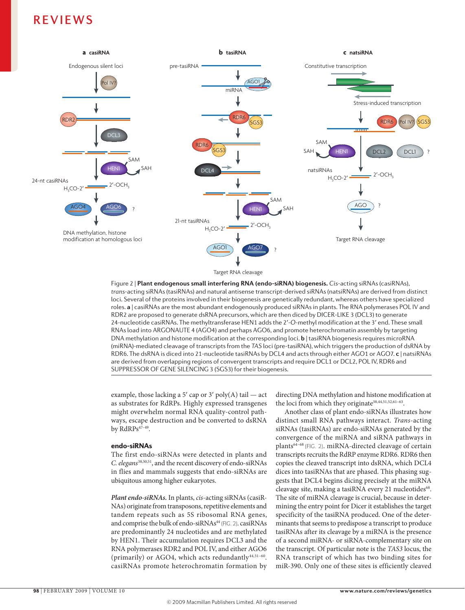

Target RNA cleavage

**Nature Reviews** | **Genetics** *trans*-acting siRNAs (tasiRNAs) and natural antisense transcript-derived siRNAs (natsiRNAs) are derived from distinct Figure 2 | **Plant endogenous small interfering RNA (endo-siRNA) biogenesis.** *Cis*-acting siRNAs (casiRNAs), loci. Several of the proteins involved in their biogenesis are genetically redundant, whereas others have specialized roles. **a** | casiRNAs are the most abundant endogenously produced siRNAs in plants. The RNA polymerases POL IV and RDR2 are proposed to generate dsRNA precursors, which are then diced by DICER-LIkE 3 (DCL3) to generate 24-nucleotide casiRNAs. The methyltransferase HEN1 adds the 2′-*O*-methyl modification at the 3′ end. These small RNAs load into ARGONAUTE 4 (AGO4) and perhaps AGO6, and promote heterochromatin assembly by targeting DNA methylation and histone modification at the corresponding loci. **b** | tasiRNA biogenesis requires microRNA (miRNA)-mediated cleavage of transcripts from the *TAS* loci (pre-tasiRNA), which triggers the production of dsRNA by RDR6. The dsRNA is diced into 21-nucleotide tasiRNAs by DCL4 and acts through either AGO1 or AGO7. **c** | natsiRNAs are derived from overlapping regions of convergent transcripts and require DCL1 or DCL2, POL IV, RDR6 and SUPPRESSOR OF GENE SILENCING 3 (SGS3) for their biogenesis.

example, those lacking a 5' cap or 3' poly(A) tail — act as substrates for RdRPs. Highly expressed transgenes might overwhelm normal RNA quality-control pathways, escape destruction and be converted to dsRNA by RdRPs<sup>47-49</sup>.

### endo-siRNAs

The first endo-siRNAs were detected in plants and *C. elegans*38,50,51, and the recent discovery of endo-siRNAs in flies and mammals suggests that endo-siRNAs are ubiquitous among higher eukaryotes.

*Plant endo-siRNAs.* In plants, *cis*-acting siRNAs (casiR-NAs) originate from transposons, repetitive elements and tandem repeats such as 5S ribosomal RNA genes, and comprise the bulk of endo-siRNAs<sup>44</sup> (FIG. 2). casiRNAs are predominantly 24 nucleotides and are methylated by HEN1. Their accumulation requires DCl3 and the RNA polymerases RDR2 and POL IV, and either AGO6 (primarily) or AGO4, which acts redundantly $44,51-60$ . casiRNAs promote heterochromatin formation by directing DNA methylation and histone modification at the loci from which they originate<sup>38,44,51,52,61-63</sup>.

Another class of plant endo-siRNAs illustrates how distinct small RNA pathways interact. *Trans*-acting siRNAs (tasiRNAs) are endo-siRNAs generated by the convergence of the miRNA and siRNA pathways in plants64–68 (FIG. 2). miRNA-directed cleavage of certain transcripts recruits the RdRP enzyme RDR6. RDR6 then copies the cleaved transcript into dsRNA, which DCl4 dices into tasiRNAs that are phased. This phasing suggests that DCl4 begins dicing precisely at the miRNA cleavage site, making a tasiRNA every 21 nucleotides<sup>68</sup>. The site of miRNA cleavage is crucial, because in determining the entry point for Dicer it establishes the target specificity of the tasiRNA produced. One of the determinants that seems to predispose a transcript to produce tasiRNAs after its cleavage by a miRNA is the presence of a second miRNA- or siRNA-complementary site on the transcript. of particular note is the *TAS3* locus, the RNA transcript of which has two binding sites for miR-390. only one of these sites is efficiently cleaved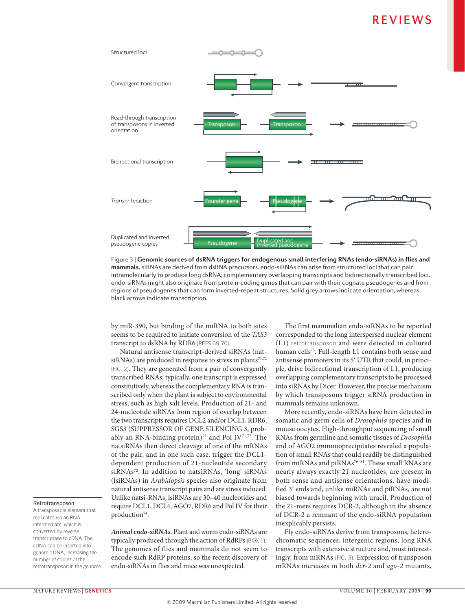

Figure 3 | Genomic sources of dsRNA triggers for endogenous small interfering RNAs (endo-siRNAs) in flies and **mammals.** siRNAs are derived from dsRNA precursors. endo-siRNAs can arise from structured loci that can pair intramolecularly to produce long dsRNA, complementary overlapping transcripts and bidirectionally transcribed loci. endo-siRNAs might also originate from protein-coding genes that can pair with their cognate pseudogenes and from regions of pseudogenes that can form inverted-repeat structures. Solid grey arrows indicate orientation, whereas black arrows indicate transcription.

by miR-390, but binding of the miRNA to both sites seems to be required to initiate conversion of the *TAS3* transcript to dsRNA by RDR6 (REFS 69,70).

Natural antisense transcript-derived siRNAs (nat $siRNAs$ ) are produced in response to stress in plants<sup>71,72</sup> (FIG. 2). They are generated from a pair of convergently transcribed RNAs: typically, one transcript is expressed constitutively, whereas the complementary RNA is transcribed only when the plant is subject to environmental stress, such as high salt levels. Production of 21- and 24-nucleotide siRNAs from region of overlap between the two transcripts requires DCl2 and/or DCl1, RDR6, SGS3 (SuPPRESSoR oF GENE SIlENCING 3, probably an RNA-binding protein)<sup>73</sup> and Pol IV<sup>71,72</sup>. The natsiRNAs then direct cleavage of one of the mRNAs of the pair, and in one such case, trigger the DCl1 dependent production of 21-nucleotide secondary siRNAs<sup>72</sup>. In addition to natsiRNAs, 'long' siRNAs (lsiRNAs) in *Arabidopsis* species also originate from natural antisense transcript pairs and are stress induced. Unlike natsi-RNAs, lsiRNAs are 30-40 nucleotides and require DCl1, DCl4, AGo7, RDR6 and Pol IV for their production<sup>74</sup>.

Retrotransposon

A transposable element that replicates via an RNA intermediate, which is converted by reverse transcriptase to cDNA. The cDNA can be inserted into genomic DNA, increasing the number of copies of the retrotransposon in the genome.

*Animal endo-siRNAs.* Plant and worm endo-siRNAs are typically produced through the action of RdRPs (BOX 1). The genomes of flies and mammals do not seem to encode such RdRP proteins, so the recent discovery of endo-siRNAs in flies and mice was unexpected.

The first mammalian endo-siRNAs to be reported corresponded to the long interspersed nuclear element (L1) retrotransposon and were detected in cultured human cells<sup>75</sup>. Full-length L1 contains both sense and antisense promoters in its 5' UTR that could, in principle, drive bidirectional transcription of L1, producing overlapping complementary transcripts to be processed into siRNAs by Dicer. However, the precise mechanism by which transposons trigger siRNA production in mammals remains unknown.

More recently, endo-siRNAs have been detected in somatic and germ cells of *Drosophila* species and in mouse oocytes. High-throughput sequencing of small RNAs from germline and somatic tissues of *Drosophila* and of AGo2 immunoprecipitates revealed a population of small RNAs that could readily be distinguished from miRNAs and piRNAs<sup>76-81</sup>. These small RNAs are nearly always exactly 21 nucleotides, are present in both sense and antisense orientations, have modified 3′ ends and, unlike miRNAs and piRNAs, are not biased towards beginning with uracil. Production of the 21-mers requires DCR-2, although in the absence of DCR-2 a remnant of the endo-siRNA population inexplicably persists.

Fly endo-siRNAs derive from transposons, heterochromatic sequences, intergenic regions, long RNA transcripts with extensive structure and, most interestingly, from mRNAs (FIG. 3). Expression of transposon mRNAs increases in both *dcr‑2* and *ago‑2* mutants,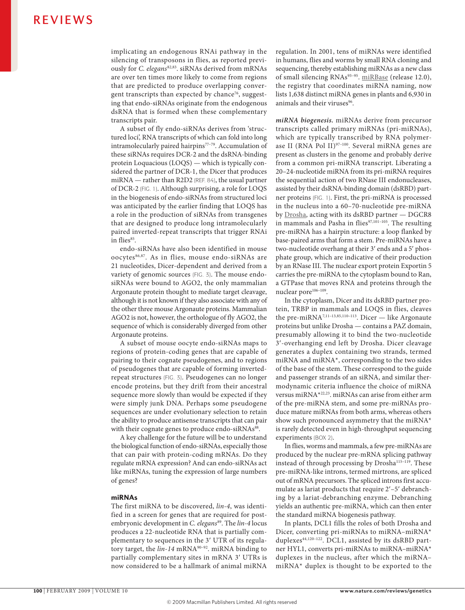implicating an endogenous RNAi pathway in the silencing of transposons in flies, as reported previously for *C. elegans*82,83. siRNAs derived from mRNAs are over ten times more likely to come from regions that are predicted to produce overlapping convergent transcripts than expected by chance<sup>76</sup>, suggesting that endo-siRNAs originate from the endogenous dsRNA that is formed when these complementary transcripts pair.

A subset of fly endo-siRNAs derives from 'structured loci', RNA transcripts of which can fold into long intramolecularly paired hairpins<sup>77-79</sup>. Accumulation of these siRNAs requires DCR-2 and the dsRNA-binding protein Loquacious (LOQS) — which is typically considered the partner of DCR-1, the Dicer that produces miRNA — rather than R2D2 (REF. 84), the usual partner of DCR-2 (FIG. 1). Although surprising, a role for LOQS in the biogenesis of endo-siRNAs from structured loci was anticipated by the earlier finding that LOQS has a role in the production of siRNAs from transgenes that are designed to produce long intramolecularly paired inverted-repeat transcripts that trigger RNAi in flies<sup>85</sup>.

endo-siRNAs have also been identified in mouse oocytes86,87. As in flies, mouse endo-siRNAs are 21 nucleotides, Dicer-dependent and derived from a variety of genomic sources (FIG. 3). The mouse endosiRNAs were bound to AGO2, the only mammalian Argonaute protein thought to mediate target cleavage, although it is not known if they also associate with any of the other three mouse Argonaute proteins. Mammalian AGo2 is not, however, the orthologue of fly AGo2, the sequence of which is considerably diverged from other Argonaute proteins.

A subset of mouse oocyte endo-siRNAs maps to regions of protein-coding genes that are capable of pairing to their cognate pseudogenes, and to regions of pseudogenes that are capable of forming invertedrepeat structures (FIG. 3). Pseudogenes can no longer encode proteins, but they drift from their ancestral sequence more slowly than would be expected if they were simply junk DNA. Perhaps some pseudogene sequences are under evolutionary selection to retain the ability to produce antisense transcripts that can pair with their cognate genes to produce endo-siRNAs<sup>88</sup>.

A key challenge for the future will be to understand the biological function of endo-siRNAs, especially those that can pair with protein-coding mRNAs. Do they regulate mRNA expression? And can endo-siRNAs act like miRNAs, tuning the expression of large numbers of genes?

#### miRNAs

The first miRNA to be discovered, *lin‑4*, was identified in a screen for genes that are required for postembryonic development in *C. elegans*89. The *lin‑4* locus produces a 22-nucleotide RNA that is partially complementary to sequences in the 3' UTR of its regulatory target, the *lin-14* mRNA<sup>90-92</sup>. miRNA binding to partially complementary sites in mRNA 3' UTRs is now considered to be a hallmark of animal miRNA regulation. In 2001, tens of miRNAs were identified in humans, flies and worms by small RNA cloning and sequencing, thereby establishing miRNAs as a new class of small silencing RNAs<sup>93-95</sup>. [miRBase](http://microrna.sanger.ac.uk/) (release 12.0), the registry that coordinates miRNA naming, now lists 1,638 distinct miRNA genes in plants and 6,930 in animals and their viruses<sup>96</sup>.

*miRNA biogenesis.* miRNAs derive from precursor transcripts called primary miRNAs (pri-miRNAs), which are typically transcribed by RNA polymerase II (RNA Pol II)<sup>97-100</sup>. Several miRNA genes are present as clusters in the genome and probably derive from a common pri-miRNA transcript. Liberating a 20–24-nucleotide miRNA from its pri-miRNA requires the sequential action of two RNase III endonucleases, assisted by their dsRNA-binding domain (dsRBD) partner proteins (FIG. 1). First, the pri-miRNA is processed in the nucleus into a 60–70-nucleotide pre-miRNA by [Drosha](http://www.uniprot.org/uniprot/Q7KNF1), acting with its dsRBD partner — DGCR8 in mammals and Pasha in flies $97,101-105$ . The resulting pre-miRNA has a hairpin structure: a loop flanked by base-paired arms that form a stem. Pre-miRNAs have a two-nucleotide overhang at their 3′ ends and a 5′ phosphate group, which are indicative of their production by an RNase III. The nuclear export protein Exportin 5 carries the pre-miRNA to the cytoplasm bound to Ran, a GTPase that moves RNA and proteins through the nuclear pore<sup>106-109</sup>.

In the cytoplasm, Dicer and its dsRBD partner protein, TRBP in mammals and LOQS in flies, cleaves the pre-miRNA<sup>7,11-13,85,110-113</sup>. Dicer — like Argonaute proteins but unlike Drosha — contains a PAZ domain, presumably allowing it to bind the two-nucleotide 3′-overhanging end left by Drosha. Dicer cleavage generates a duplex containing two strands, termed miRNA and miRNA\*, corresponding to the two sides of the base of the stem. These correspond to the guide and passenger strands of an siRNA, and similar thermodynamic criteria influence the choice of miRNA versus miRNA\*22,23. miRNAs can arise from either arm of the pre-miRNA stem, and some pre-miRNAs produce mature miRNAs from both arms, whereas others show such pronounced asymmetry that the miRNA\* is rarely detected even in high-throughput sequencing experiments (BOX 2).

In flies, worms and mammals, a few pre-miRNAs are produced by the nuclear pre-mRNA splicing pathway instead of through processing by Drosha<sup>115–119</sup>. These pre-miRNA-like introns, termed mirtrons, are spliced out of mRNA precursors. The spliced introns first accumulate as lariat products that require 2′–5′ debranching by a lariat-debranching enzyme. Debranching yields an authentic pre-miRNA, which can then enter the standard miRNA biogenesis pathway.

In plants, DCl1 fills the roles of both Drosha and Dicer, converting pri-miRNAs to miRNA–miRNA\* duplexes<sup>44,120-122</sup>. DCL1, assisted by its dsRBD partner Hyl1, converts pri-miRNAs to miRNA–miRNA\* duplexes in the nucleus, after which the miRNA– miRNA\* duplex is thought to be exported to the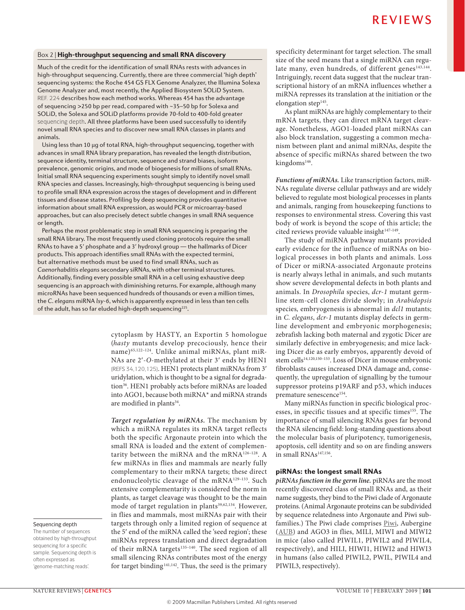### Box 2 | High-throughput sequencing and small RNA discovery

Much of the credit for the identification of small RNAs rests with advances in high-throughput sequencing. Currently, there are three commercial 'high depth' sequencing systems: the Roche 454 GS FLX Genome Analyzer, the Illumina Solexa Genome Analyzer and, most recently, the Applied Biosystem SOLiD System. REF. 224 describes how each method works. Whereas 454 has the advantage of sequencing >250 bp per read, compared with ~35–50 bp for Solexa and SOLiD, the Solexa and SOLiD platforms provide 70-fold to 400-fold greater sequencing depth. All three platforms have been used successfully to identify novel small RNA species and to discover new small RNA classes in plants and animals.

Using less than 10 μg of total RNA, high-throughput sequencing, together with advances in small RNA library preparation, has revealed the length distribution, sequence identity, terminal structure, sequence and strand biases, isoform prevalence, genomic origins, and mode of biogenesis for millions of small RNAs. Initial small RNA sequencing experiments sought simply to identify novel small RNA species and classes. Increasingly, high-throughput sequencing is being used to profile small RNA expression across the stages of development and in different tissues and disease states. Profiling by deep sequencing provides quantitative information about small RNA expression, as would PCR or microarray-based approaches, but can also precisely detect subtle changes in small RNA sequence or length.

Perhaps the most problematic step in small RNA sequencing is preparing the small RNA library. The most frequently used cloning protocols require the small RNAs to have a 5′ phosphate and a 3′ hydroxyl group — the hallmarks of Dicer products. This approach identifies small RNAs with the expected termini, but alternative methods must be used to find small RNAs, such as *Caenorhabditis elegans* secondary siRNAs, with other terminal structures. Additionally, finding every possible small RNA in a cell using exhaustive deep sequencing is an approach with diminishing returns. For example, although many microRNAs have been sequenced hundreds of thousands or even a million times, the *C. elegans* miRNA *lsy‑6*, which is apparently expressed in less than ten cells of the adult, has so far eluded high-depth sequencing<sup>225</sup>.

> cytoplasm by HASTy, an Exportin 5 homologue (*hasty* mutants develop precociously, hence their name)<sup>65,122-124</sup>. Unlike animal miRNAs, plant miR-NAs are 2′-*O*-methylated at their 3′ ends by HEN1 (REFS 34,120,125). HEN1 protects plant miRNAs from 3′ uridylation, which is thought to be a signal for degradation<sup>36</sup>. HEN1 probably acts before miRNAs are loaded into AGo1, because both miRNA\* and miRNA strands are modified in plants<sup>34</sup>.

> *Target regulation by miRNAs.* The mechanism by which a miRNA regulates its mRNA target reflects both the specific Argonaute protein into which the small RNA is loaded and the extent of complementarity between the miRNA and the mRNA<sup>126-128</sup>. A few miRNAs in flies and mammals are nearly fully complementary to their mRNA targets; these direct endonucleolytic cleavage of the mRNA<sup>129-133</sup>. Such extensive complementarity is considered the norm in plants, as target cleavage was thought to be the main mode of target regulation in plants<sup>39,62,134</sup>. However, in flies and mammals, most miRNAs pair with their targets through only a limited region of sequence at the 5′ end of the miRNA called the 'seed region'; these miRNAs repress translation and direct degradation of their mRNA targets<sup>135-140</sup>. The seed region of all small silencing RNAs contributes most of the energy for target binding<sup>141,142</sup>. Thus, the seed is the primary

specificity determinant for target selection. The small size of the seed means that a single miRNA can regulate many, even hundreds, of different genes<sup>143,144</sup>. Intriguingly, recent data suggest that the nuclear transcriptional history of an mRNA influences whether a miRNA represses its translation at the initiation or the elongation step145.

As plant miRNAs are highly complementary to their mRNA targets, they can direct mRNA target cleavage. Nonetheless, AGo1-loaded plant miRNAs can also block translation, suggesting a common mechanism between plant and animal miRNAs, despite the absence of specific miRNAs shared between the two kingdoms<sup>146</sup>.

Functions of miRNAs. Like transcription factors, miR-NAs regulate diverse cellular pathways and are widely believed to regulate most biological processes in plants and animals, ranging from housekeeping functions to responses to environmental stress. Covering this vast body of work is beyond the scope of this article; the cited reviews provide valuable insight<sup>147-149</sup>.

The study of miRNA pathway mutants provided early evidence for the influence of miRNAs on biological processes in both plants and animals. loss of Dicer or miRNA-associated Argonaute proteins is nearly always lethal in animals, and such mutants show severe developmental defects in both plants and animals. In *Drosophila* species, *dcr‑1* mutant germline stem-cell clones divide slowly; in *Arabidopsis*  species*,* embryogenesis is abnormal in *dcl1* mutants; in *C. elegans*, *dcr‑1* mutants display defects in germline development and embryonic morphogenesis; zebrafish lacking both maternal and zygotic Dicer are similarly defective in embryogenesis; and mice lacking Dicer die as early embryos, apparently devoid of stem cells<sup>14,120,150-153</sup>. Loss of Dicer in mouse embryonic fibroblasts causes increased DNA damage and, consequently, the upregulation of signalling by the tumour suppressor proteins p19ARF and p53, which induces premature senescence<sup>154</sup>.

Many miRNAs function in specific biological processes, in specific tissues and at specific times<sup>155</sup>. The importance of small silencing RNAs goes far beyond the RNA silencing field: long-standing questions about the molecular basis of pluripotency, tumorigenesis, apoptosis, cell identity and so on are finding answers in small RNAs<sup>147,156</sup>.

#### piRNAs: the longest small RNAs

*piRNAs function in the germ line.* piRNAs are the most recently discovered class of small RNAs and, as their name suggests, they bind to the Piwi clade of Argonaute proteins. (Animal Argonaute proteins can be subdivided by sequence relatedness into Argonaute and Piwi sub-families.) The [Piwi](http://www.uniprot.org/uniprot/Q9VKM1) clade comprises Piwi, Aubergine ([AuB](http://www.uniprot.org/uniprot/O76922)) and AGo3 in flies, MIlI, MIwI and MIwI2 in mice (also called PIWIL1, PIWIL2 and PIWIL4, respectively), and HIlI, HIwI1, HIwI2 and HIwI3 in humans (also called PIWIL2, PWIL, PIWIL4 and PIwIl3, respectively).

#### Sequencing depth

The number of sequences obtained by high-throughput sequencing for a specific sample. Sequencing depth is often expressed as 'genome-matching reads'.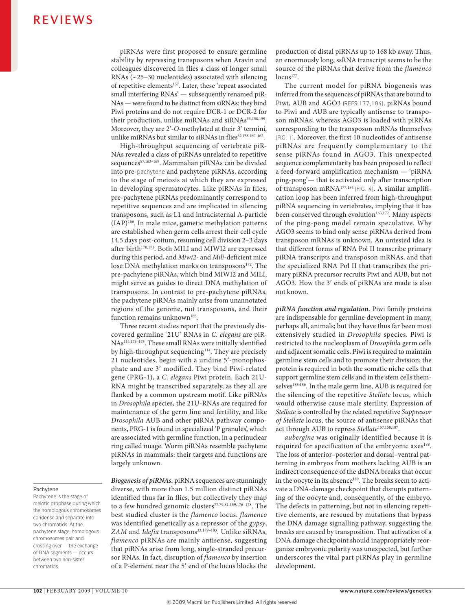piRNAs were first proposed to ensure germline stability by repressing transposons when Aravin and colleagues discovered in flies a class of longer small RNAs (~25–30 nucleotides) associated with silencing of repetitive elements<sup>157</sup>. Later, these 'repeat associated small interfering RNAs' — subsequently renamed piR-NAs — were found to be distinct from siRNAs: they bind Piwi proteins and do not require DCR-1 or DCR-2 for their production, unlike miRNAs and siRNAs<sup>33,158,159</sup>. Moreover, they are 2′-*O*-methylated at their 3′ termini, unlike miRNAs but similar to siRNAs in flies<sup>32,158,160-162</sup>.

High-throughput sequencing of vertebrate piR-NAs revealed a class of piRNAs unrelated to repetitive sequences<sup>87,163-169</sup>. Mammalian piRNAs can be divided into pre-pachytene and pachytene piRNAs, according to the stage of meiosis at which they are expressed in developing spermatocytes. like piRNAs in flies, pre-pachytene piRNAs predominantly correspond to repetitive sequences and are implicated in silencing transposons, such as l1 and intracisternal A-particle (IAP)166. In male mice, gametic methylation patterns are established when germ cells arrest their cell cycle 14.5 days post-coitum, resuming cell division 2–3 days after birth<sup>170,171</sup>. Both MILI and MIWI2 are expressed during this period, and *Miwi2*- and *Mili*-deficient mice lose DNA methylation marks on transposons<sup>172</sup>. The pre-pachytene piRNAs, which bind MIwI2 and MIlI, might serve as guides to direct DNA methylation of transposons. In contrast to pre-pachytene piRNAs, the pachytene piRNAs mainly arise from unannotated regions of the genome, not transposons, and their function remains unknown<sup>166</sup>.

Three recent studies report that the previously discovered germline '21u' RNAs in *C. elegans* are piR-NAs114,173–175. These small RNAs were initially identified by high-throughput sequencing<sup>114</sup>. They are precisely 21 nucleotides, begin with a uridine 5′-monophosphate and are 3′ modified. They bind Piwi-related gene (PRG-1), a *C. elegans* Piwi protein. Each 21u-RNA might be transcribed separately, as they all are flanked by a common upstream motif. like piRNAs in *Drosophila* species, the 21U-RNAs are required for maintenance of the germ line and fertility, and like *Drosophila* AuB and other piRNA pathway components, PRG-1 is found in specialized 'P granules', which are associated with germline function, in a perinuclear ring called nuage. worm piRNAs resemble pachytene piRNAs in mammals: their targets and functions are largely unknown.

Pachytene

Pachytene is the stage of meiotic prophase during which the homologous chromosomes condense and separate into two chromatids. At the pachytene stage, homologous chromosomes pair and crossing over — the exchange of DNA segments — occurs between two non-sister chromatids.

*Biogenesis of piRNAs.* piRNA sequences are stunningly diverse, with more than 1.5 million distinct piRNAs identified thus far in flies, but collectively they map to a few hundred genomic clusters<sup>77,79,81,159,176-178</sup>. The best studied cluster is the *flamenco* locus. *flamenco* was identified genetically as a repressor of the *gypsy*, ZAM and *Idefix* transposons<sup>33,179-183</sup>. Unlike siRNAs, *flamenco* piRNAs are mainly antisense, suggesting that piRNAs arise from long, single-stranded precursor RNAs. In fact, disruption of *flamenco* by insertion of a P-element near the 5′ end of the locus blocks the production of distal piRNAs up to 168 kb away. Thus, an enormously long, ssRNA transcript seems to be the source of the piRNAs that derive from the *flamenco* locus<sup>177</sup>.

The current model for piRNA biogenesis was inferred from the sequences of piRNAs that are bound to Piwi, AUB and AGO3 (REFS 177,184). piRNAs bound to Piwi and AuB are typically antisense to transposon mRNAs, whereas AGO3 is loaded with piRNAs corresponding to the transposon mRNAs themselves (FIG. 1). Moreover, the first 10 nucleotides of antisense piRNAs are frequently complementary to the sense piRNAs found in AGo3. This unexpected sequence complementarity has been proposed to reflect a feed-forward amplification mechanism — 'piRNA ping-pong'— that is activated only after transcription of transposon mRNA177,184 (FIG. 4). A similar amplification loop has been inferred from high-throughput piRNA sequencing in vertebrates, implying that it has been conserved through evolution<sup>163,172</sup>. Many aspects of the ping-pong model remain speculative. why AGo3 seems to bind only sense piRNAs derived from transposon mRNAs is unknown. An untested idea is that different forms of RNA Pol II transcribe primary piRNA transcripts and transposon mRNAs, and that the specialized RNA Pol II that transcribes the primary piRNA precursor recruits Piwi and AuB, but not AGo3. How the 3′ ends of piRNAs are made is also not known.

*piRNA function and regulation.* Piwi family proteins are indispensable for germline development in many, perhaps all, animals; but they have thus far been most extensively studied in *Drosophila* species. Piwi is restricted to the nucleoplasm of *Drosophila* germ cells and adjacent somatic cells. Piwi is required to maintain germline stem cells and to promote their division; the protein is required in both the somatic niche cells that support germline stem cells and in the stem cells themselves<sup>185,186</sup>. In the male germ line, AUB is required for the silencing of the repetitive *Stellate* locus, which would otherwise cause male sterility. Expression of *Stellate* is controlled by the related repetitive *Suppressor of Stellate* locus, the source of antisense piRNAs that act through AuB to repress *Stellate*157,158,187.

*aubergine* was originally identified because it is required for specification of the embryonic axes<sup>188</sup>. The loss of anterior–posterior and dorsal–ventral patterning in embryos from mothers lacking AuB is an indirect consequence of the dsDNA breaks that occur in the oocyte in its absence<sup>189</sup>. The breaks seem to activate a DNA-damage checkpoint that disrupts patterning of the oocyte and, consequently, of the embryo. The defects in patterning, but not in silencing repetitive elements, are rescued by mutations that bypass the DNA damage signalling pathway, suggesting the breaks are caused by transposition. That activation of a DNA damage checkpoint should inappropriately reorganize embryonic polarity was unexpected, but further underscores the vital part piRNAs play in germline development.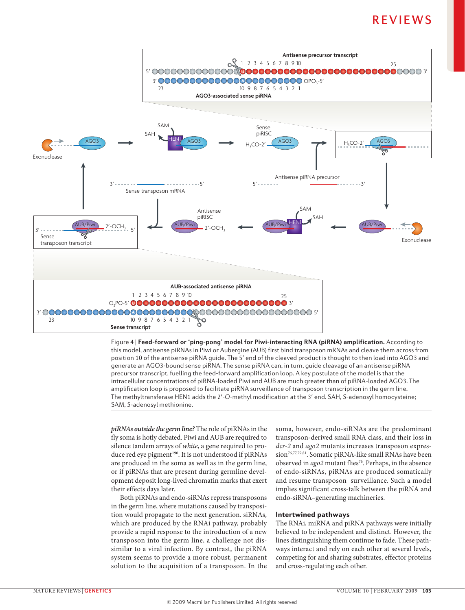

this model, antisense piRNAs in Piwi or Aubergine (AUB) first bind transposon mRNAs and cleave them across from Figure 4 | **Feed-forward or 'ping-pong' model for Piwi-interacting RNA (piRNA) amplification.** According to position 10 of the antisense piRNA guide. The 5′ end of the cleaved product is thought to then load into AGO3 and generate an AGO3-bound sense piRNA. The sense piRNA can, in turn, guide cleavage of an antisense piRNA precursor transcript, fuelling the feed-forward amplification loop. A key postulate of the model is that the intracellular concentrations of piRNA-loaded Piwi and AUB are much greater than of piRNA-loaded AGO3. The amplification loop is proposed to facilitate piRNA surveillance of transposon transcription in the germ line. The methyltransferase HEN1 adds the 2′-*O*-methyl modification at the 3′ end. SAH, *S*-adenosyl homocysteine; SAM, *S*-adenosyl methionine.

*piRNAs outside the germ line?* The role of piRNAs in the fly soma is hotly debated. Piwi and AUB are required to silence tandem arrays of *white*, a gene required to produce red eye pigment<sup>190</sup>. It is not understood if piRNAs are produced in the soma as well as in the germ line, or if piRNAs that are present during germline development deposit long-lived chromatin marks that exert their effects days later.

Both piRNAs and endo-siRNAs repress transposons in the germ line, where mutations caused by transposition would propagate to the next generation. siRNAs, which are produced by the RNAi pathway, probably provide a rapid response to the introduction of a new transposon into the germ line, a challenge not dissimilar to a viral infection. By contrast, the piRNA system seems to provide a more robust, permanent solution to the acquisition of a transposon. In the soma, however, endo-siRNAs are the predominant transposon-derived small RNA class, and their loss in *dcr‑2* and *ago2* mutants increases transposon expression76,77,79,81. Somatic piRNA-like small RNAs have been observed in *ago2* mutant flies<sup>76</sup>. Perhaps, in the absence of endo-siRNAs, piRNAs are produced somatically and resume transposon surveillance. Such a model implies significant cross-talk between the piRNA and endo-siRNA–generating machineries.

### Intertwined pathways

The RNAi, miRNA and piRNA pathways were initially believed to be independent and distinct. However, the lines distinguishing them continue to fade. These pathways interact and rely on each other at several levels, competing for and sharing substrates, effector proteins and cross-regulating each other.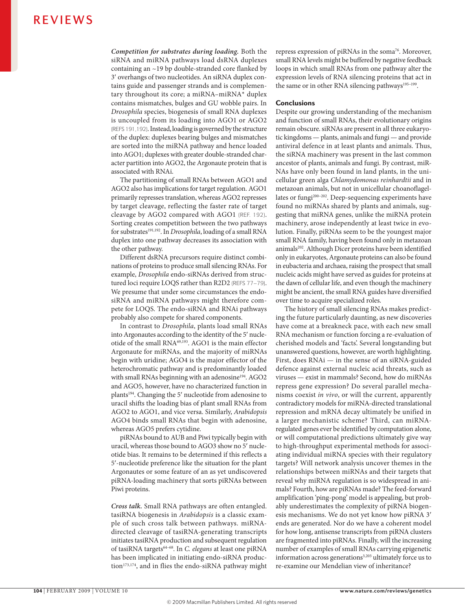*Competition for substrates during loading.* Both the siRNA and miRNA pathways load dsRNA duplexes containing an ~19 bp double-stranded core flanked by 3′ overhangs of two nucleotides. An siRNA duplex contains guide and passenger strands and is complementary throughout its core; a miRNA–miRNA\* duplex contains mismatches, bulges and Gu wobble pairs. In *Drosophila* species, biogenesis of small RNA duplexes is uncoupled from its loading into AGO1 or AGO2 (REFS 191,192). Instead, loading is governed by the structure of the duplex: duplexes bearing bulges and mismatches are sorted into the miRNA pathway and hence loaded into AGo1; duplexes with greater double-stranded character partition into AGO2, the Argonaute protein that is associated with RNAi.

The partitioning of small RNAs between AGO1 and AGo2 also has implications for target regulation. AGo1 primarily represses translation, whereas AGo2 represses by target cleavage, reflecting the faster rate of target cleavage by AGo2 compared with AGo1 (REF. 192). Sorting creates competition between the two pathways for substrates<sup>191,192</sup>. In *Drosophila*, loading of a small RNA duplex into one pathway decreases its association with the other pathway.

Different dsRNA precursors require distinct combinations of proteins to produce small silencing RNAs. For example, *Drosophila* endo-siRNAs derived from structured loci require LOQS rather than R2D2 (REFS 77-79). we presume that under some circumstances the endosiRNA and miRNA pathways might therefore compete for LOQS. The endo-siRNA and RNAi pathways probably also compete for shared components.

In contrast to *Drosophila*, plants load small RNAs into Argonautes according to the identity of the 5′ nucleotide of the small RNA<sup>69,193</sup>. AGO1 is the main effector Argonaute for miRNAs, and the majority of miRNAs begin with uridine; AGo4 is the major effector of the heterochromatic pathway and is predominantly loaded with small RNAs beginning with an adenosine<sup>194</sup>. AGO2 and AGo5, however, have no characterized function in plants194. Changing the 5′ nucleotide from adenosine to uracil shifts the loading bias of plant small RNAs from AGo2 to AGo1, and vice versa. Similarly, *Arabidopsis* AGo4 binds small RNAs that begin with adenosine, whereas AGo5 prefers cytidine.

piRNAs bound to AUB and Piwi typically begin with uracil, whereas those bound to AGo3 show no 5′ nucleotide bias. It remains to be determined if this reflects a 5′-nucleotide preference like the situation for the plant Argonautes or some feature of an as yet undiscovered piRNA-loading machinery that sorts piRNAs between Piwi proteins.

*Cross talk.* Small RNA pathways are often entangled. tasiRNA biogenesis in *Arabidopsis* is a classic example of such cross talk between pathways. miRNAdirected cleavage of tasiRNA-generating transcripts initiates tasiRNA production and subsequent regulation of tasiRNA targets64–68. In *C. elegans* at least one piRNA has been implicated in initiating endo-siRNA production<sup>173,174</sup>, and in flies the endo-siRNA pathway might repress expression of piRNAs in the soma<sup>76</sup>. Moreover, small RNA levels might be buffered by negative feedback loops in which small RNAs from one pathway alter the expression levels of RNA silencing proteins that act in the same or in other RNA silencing pathways<sup>195-199</sup>.

### **Conclusions**

Despite our growing understanding of the mechanism and function of small RNAs, their evolutionary origins remain obscure. siRNAs are present in all three eukaryotic kingdoms — plants, animals and fungi — and provide antiviral defence in at least plants and animals. Thus, the siRNA machinery was present in the last common ancestor of plants, animals and fungi. By contrast, miR-NAs have only been found in land plants, in the unicellular green alga *Chlamydomonas reinhardtii* and in metazoan animals, but not in unicellular choanoflagellates or fungi<sup>200-202</sup>. Deep-sequencing experiments have found no miRNAs shared by plants and animals, suggesting that miRNA genes, unlike the miRNA protein machinery, arose independently at least twice in evolution. Finally, piRNAs seem to be the youngest major small RNA family, having been found only in metazoan animals<sup>202</sup>. Although Dicer proteins have been identified only in eukaryotes, Argonaute proteins can also be found in eubacteria and archaea, raising the prospect that small nucleic acids might have served as guides for proteins at the dawn of cellular life, and even though the machinery might be ancient, the small RNA guides have diversified over time to acquire specialized roles.

The history of small silencing RNAs makes predicting the future particularly daunting, as new discoveries have come at a breakneck pace, with each new small RNA mechanism or function forcing a re-evaluation of cherished models and 'facts'. Several longstanding but unanswered questions, however, are worth highlighting. First, does RNAi — in the sense of an siRNA-guided defence against external nucleic acid threats, such as viruses — exist in mammals? Second, how do miRNAs repress gene expression? Do several parallel mechanisms coexist *in vivo*, or will the current, apparently contradictory models for miRNA-directed translational repression and mRNA decay ultimately be unified in a larger mechanistic scheme? Third, can miRNAregulated genes ever be identified by computation alone, or will computational predictions ultimately give way to high-throughput experimental methods for associating individual miRNA species with their regulatory targets? will network analysis uncover themes in the relationships between miRNAs and their targets that reveal why miRNA regulation is so widespread in animals? Fourth, how are piRNAs made? The feed-forward amplification 'ping-pong' model is appealing, but probably underestimates the complexity of piRNA biogenesis mechanisms. we do not yet know how piRNA 3′ ends are generated. Nor do we have a coherent model for how long, antisense transcripts from piRNA clusters are fragmented into piRNAs. Finally, will the increasing number of examples of small RNAs carrying epigenetic information across generations<sup>3,203</sup> ultimately force us to re-examine our Mendelian view of inheritance?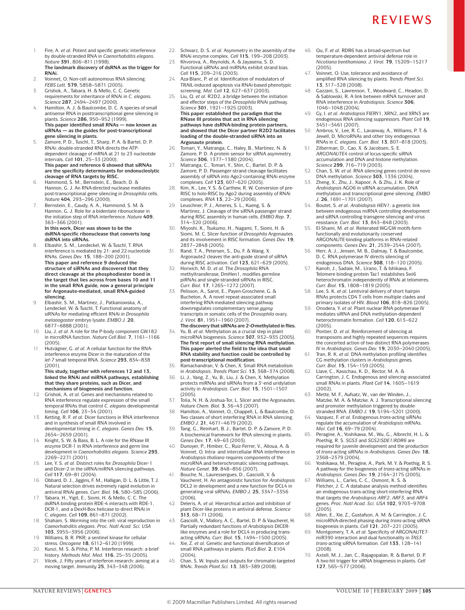- 1. Fire, A. *et al.* Potent and specific genetic interference by double-stranded RNA in *Caenorhabditis elegans*. *Nature* **391**, 806–811 (1998). **The landmark discovery of dsRNA as the trigger for RNAi.**
- 2. Voinnet, O. Non-cell autonomous RNA silencing. *FEBS Lett.* **579**, 5858–5871 (2005).
- 3. Grishok, A., Tabara, H. & Mello, C. C. Genetic requirements for inheritance of RNAi in *C. elegans*. *Science* **287**, 2494–2497 (2000).
- 4. Hamilton, A. J. & Baulcombe, D. C. A species of small antisense RNA in posttranscriptional gene silencing in plants. *Science* **286**, 950–952 (1999). **This paper identified small RNAs — now known as siRNAs — as the guides for post-transcriptional**
- **gene silencing in plants.** 5. Zamore, P. D., Tuschl, T., Sharp, P. A. & Bartel, D. P. RNAi: double-stranded RNA directs the ATPdependent cleavage of mRNA at 21 to 23 nucleotide intervals. *Cell* **101**, 25–33 (2000). **This paper and reference 6 showed that siRNAs are the specificity determinants for endonucleolytic cleavage of RNA targets by RISC.**
- 6. Hammond, S. M., Bernstein, E., Beach, D. & Hannon, G. J. An RNA-directed nuclease mediates post-transcriptional gene silencing in *Drosophila* cells. *Nature* **404**, 293–296 (2000).
- Bernstein, E., Caudy, A. A., Hammond, S. M. & Hannon, G. J. Role for a bidentate ribonuclease in the initiation step of RNA interference. *Nature* **409**, 363–366 (2001). **In this work, Dicer was shown to be the**

### **dsRNA-specific ribonuclease that converts long dsRNA into siRNAs.**

- 8. Elbashir, S. M., Lendeckel, W. & Tuschl, T. RNA interference is mediated by 21- and 22-nucleotide RNAs. *Genes Dev.* **15**, 188–200 (2001). **This paper and reference 9 deduced the structure of siRNAs and discovered that they direct cleavage at the phosphodiester bond in the target that lies across from bases 10 and 11 in the small RNA guide, now a general principle for Argonaute-mediated, small RNA-guided silencing.**
- 9. Elbashir, S. M., Martinez, J., Patkaniowska, A., Lendeckel, W. & Tuschl, T. Functional anatomy of siRNAs for mediating efficient RNAi *in Drosophila melanogaster* embryo lysate. *EMBO J.* **20**, 6877–6888 (2001).
- Liu, J. *et al.* A role for the P-body component GW182 in microRNA function. *Nature Cell Biol.* **7**, 1161–1166 (2005).
- 11. Hutvágner, G. *et al.* A cellular function for the RNA-interference enzyme Dicer in the maturation of the *let‑7* small temporal RNA. *Science* **293**, 834–838 (2001). **This study, together with references 12 and 13,**

### **linked the RNAi and miRNA pathways, establishing that they share proteins, such as Dicer, and mechanisms of biogenesis and function.**

- Grishok, A. *et al.* Genes and mechanisms related to RNA interference regulate expression of the small temporal RNAs that control *C. elegans* developmental
- timing. *Cell* **106**, 23–34 (2001). 13. Ketting, R. F. *et al.* Dicer functions in RNA interference and in synthesis of small RNA involved in developmental timing in *C. elegans*. *Genes Dev.* **15**, 2654–2659 (2001).
- 14. Knight, S. W. & Bass, B. L. A role for the RNase III enzyme DCR-1 in RNA interference and germ line development in *Caenorhabditis elegans*. *Science* **293**, 2269–2271 (2001).
- 15. Lee, Y. S. *et al.* Distinct roles for *Drosophila* Dicer-1 and Dicer-2 in the siRNA/miRNA silencing pathways.
- *Cell* **117**, 69–81 (2004). 16. Obbard, D. J., Jiggins, F. M., Halligan, D. L. & Little, T. J. Natural selection drives extremely rapid evolution in antiviral RNAi genes. *Curr. Biol.* **16**, 580–585 (2006).
- 17. Tabara, H., Yigit, E., Siomi, H. & Mello, C. C. The dsRNA binding protein RDE-4 interacts with RDE-1, DCR-1, and a DexH-Box helicase to direct RNAi in *C. elegans*. *Cell* **109**, 861–871 (2002).
- 18. Shaham, S. Worming into the cell: viral reproduction in *Caenorhabditis elegans*. *Proc. Natl Acad. Sci. USA* **103**, 3955–3956 (2006).
- 19. Williams, B. R. PKR; a sentinel kinase for cellular stress. *Oncogene* **18**, 6112–6120 (1999).
- 20. Kunzi, M. S. & Pitha, P. M. Interferon research: a brief history. *Methods Mol. Med.* **116**, 25–35 (2005).
- 21. Vilcek, J. Fifty years of interferon research: aiming at a moving target. *Immunity* **25**, 343–348 (2006).
- 22. Schwarz, D. S. *et al.* Asymmetry in the assembly of the
- RNAi enzyme complex. *Cell* **115**, 199–208 (2003). 23. Khvorova, A., Reynolds, A. & Jayasena, S. D. Functional siRNAs and miRNAs exhibit strand bias. *Cell* **115**, 209–216 (2003).
- 24. Aza-Blanc, P. *et al.* Identification of modulators of TRAIL-induced apoptosis via RNAi-based phenotypic screening. *Mol. Cell* **12**, 627–637 (2003).
- 25. Liu, Q. *et al.* R2D2, a bridge between the initiation and effector steps of the *Drosophila* RNAi pathway. *Science* **301**, 1921–1925 (2003). **This paper established the paradigm that the RNase III proteins that act in RNA silencing pathways have dsRNA-binding protein partners, and showed that the Dicer partner R2D2 facilitates loading of the double-stranded siRNA into an Argonaute protein.**
- 26. Tomari, Y., Matranga, C., Haley, B., Martinez, N. & Zamore, P. D. A protein sensor for siRNA asymmetry.
- *Science* **306**, 1377–1380 (2004). 27. Matranga, C., Tomari, Y., Shin, C., Bartel, D. P. & Zamore, P. D. Passenger-strand cleavage facilitates assembly of siRNA into Ago2-containing RNAi enzyme complexes. *Cell* **123**, 607–620 (2005).
- 28. Kim, K., Lee, Y. S. & Carthew, R. W. Conversion of pre-RISC to holo-RISC by Ago2 during assembly of RNAi complexes. *RNA* **13**, 22–29 (2006).
- 29. Leuschner, P. J., Ameres, S. L., Kueng, S. & Martinez, J. Cleavage of the siRNA passenger strand during RISC assembly in human cells. *EMBO Rep.* **7**, 314–320 (2006).
- 30. Miyoshi, K., Tsukumo, H., Nagami, T., Siomi, H. & Siomi, M. C. Slicer function of *Drosophila* Argonautes and its involvement in RISC formation. *Genes Dev.* **19**, 2837–2848 (2005).
- 31. Rand, T. A., Petersen, S., Du, F. & Wang, X. Argonaute2 cleaves the anti-guide strand of siRNA during RISC activation. *Cell* **123**, 621–629 (2005).
- 32. Horwich, M. D. *et al.* The *Drosophila* RNA methyltransferase, DmHen1, modifies germline piRNAs and single-stranded siRNAs in RISC.
- *Curr. Biol.* **17**, 1265–1272 (2007). 33. Pelisson, A., Sarot, E., Payen-Groschene, G. & Bucheton, A. A novel repeat-associated small interfering RNA-mediated silencing pathway downregulates complementary sense *gypsy* transcripts in somatic cells of the *Drosophila* ovary. *J. Virol.* **81**, 1951–1960 (2007). **The discovery that siRNAs are 2**′**-***O***-methylated in flies.**
- Yu, B. *et al.* Methylation as a crucial step in plant microRNA biogenesis. *Science* **307**, 932–935 (2005). **The first report of small silencing RNA methylation. This paper alerted the field to the idea that small RNA stability and function could be controlled by post-transcriptional modification.**
- 35. Ramachandran, V. & Chen, X. Small RNA metabolism in *Arabidopsis*. *Trends Plant Sci.* **13**, 368–374 (2008).
- 36. Li, J., Yang, Z., Yu, B., Liu, J. & Chen, X. Methylation protects miRNAs and siRNAs from a 3′-end uridylation activity in *Arabidopsis*. *Curr. Biol.* **15**, 1501–1507 (2005).
- 37. Tolia, N. H. & Joshua-Tor, L. Slicer and the Argonautes. *Nature Chem. Biol.* **3**, 36–43 (2007).
- 38. Hamilton, A., Voinnet, O., Chappell, L. & Baulcombe, D. Two classes of short interfering RNA in RNA silencing. *EMBO J.* **21**, 4671–4679 (2002).
- Tang, G., Reinhart, B. J., Bartel, D. P. & Zamore, P. D. A biochemical framework for RNA silencing in plants.
- *Genes Dev.* **17**, 49–63 (2003). 40. Dunoyer, P., Himber, C., Ruiz-Ferrer, V., Alioua, A. & Voinnet, O. Intra- and intercellular RNA interference in *Arabidopsis thaliana* requires components of the microRNA and heterochromatic silencing pathways. *Nature Genet.* **39**, 848–856 (2007).
- 41. Bouche, N., Lauressergues, D., Gasciolli, V. & Vaucheret, H. An antagonistic function for *Arabidopsis* DCL2 in development and a new function for DCL4 in generating viral siRNAs. *EMBO J.* **25**, 3347–3356 (2006).
- 42. Deleris, A. *et al.* Hierarchical action and inhibition of plant Dicer-like proteins in antiviral defense. *Science* **313**, 68–71 (2006).
- 43. Gasciolli, V., Mallory, A. C., Bartel, D. P. & Vaucheret, H. Partially redundant functions of *Arabidopsis* DICERlike enzymes and a role for DCL4 in producing trans-acting siRNAs. *Curr. Biol.* **15**, 1494–1500 (2005).
- 44. Xie, Z. *et al.* Genetic and functional diversification of small RNA pathways in plants. *PLoS Biol.* **2**, E104 (2004).
- 45. Chan, S. W. Inputs and outputs for chromatin-targeted RNAi. *Trends Plant Sci.* **13**, 383–389 (2008).
- 46. Qu, F. *et al.* RDR6 has a broad-spectrum but temperature-dependent antiviral defense role in *Nicotiana benthamiana*. *J. Virol.* **79**, 15209–15217 (2005).
- 47. Voinnet, O. Use, tolerance and avoidance of amplified RNA silencing by plants. *Trends Plant Sci.* **13**, 317–328 (2008).
- 48. Gazzani, S., Lawrenson, T., Woodward, C., Headon, D. & Sablowski, R. A link between mRNA turnover and RNA interference in *Arabidopsis*. *Science* **306**, 1046–1048 (2004).
- 49. Gy, I. *et al. Arabidopsis* FIERY1, XRN2, and XRN3 are endogenous RNA silencing suppressors. *Plant Cell* **19**, 3451–3461 (2007).
- 50. Ambros, V., Lee, R. C., Lavanway, A., Williams, P. T. & Jewell, D. MicroRNAs and other tiny endogenous RNAs in *C. elegans*. *Curr. Biol.* **13**, 807–818 (2003).
- 51. Zilberman, D., Cao, X. & Jacobsen, S. E. *ARGONAUTE4* control of locus-specific siRNA accumulation and DNA and histone methylation. *Science* **299**, 716–719 (2003).
- 52. Chan, S. W. *et al.* RNA silencing genes control de novo DNA methylation. *Science* **303**, 1336 (2004).
- Zheng, X., Zhu, J., Kapoor, A. & Zhu, J. K. Role of *Arabidopsis* AGO6 in siRNA accumulation, DNA methylation and transcriptional gene silencing. *EMBO J.* **26**, 1691–1701 (2007).
- 54. Boutet, S. *et al. Arabidopsis HEN1*: a genetic link between endogenous miRNA controlling development and siRNA controlling transgene silencing and virus resistance. *Curr. Biol.* **13**, 843–848 (2003).
- 55. El-Shami, M. *et al.* Reiterated WG/GW motifs form functionally and evolutionarily conserved ARGONAUTE-binding platforms in RNAi-related components. *Genes Dev.* **21**, 2539–2544 (2007).
- 56. Herr, A. J., Jensen, M. B., Dalmay, T. & Baulcombe, D. C. RNA polymerase IV directs silencing of endogenous DNA. *Science* **308**, 118–120 (2005).
- Kanoh, J., Sadaie, M., Urano, T. & Ishikawa, F. Telomere binding protein Taz1 establishes Swi6 heterochromatin independently of RNAi at telomeres.
- *Curr. Biol.* **15**, 1808–1819 (2005). 58. Lee, S. K. *et al.* Lentiviral delivery of short hairpin RNAs protects CD4 T cells from multiple clades and primary isolates of HIV. *Blood* **106**, 818–826 (2005).
- 59. Onodera, Y. *et al.* Plant nuclear RNA polymerase IV mediates siRNA and DNA methylation-dependent heterochromatin formation. *Cell* **120**, 613–622 (2005).
- 60. Pontier, D. *et al.* Reinforcement of silencing at transposons and highly repeated sequences requires the concerted action of two distinct RNA polymerases IV in *Arabidopsis*. *Genes Dev.* **19**, 2030–2040 (2005). 61. Tran, R. K. *et al.* DNA methylation profiling identifies
- CG methylation clusters in *Arabidopsis* genes. *Curr. Biol.* **15**, 154–159 (2005).
- 62. Llave, C., Kasschau, K. D., Rector, M. A. & Carrington, J. C. Endogenous and silencing-associated small RNAs in plants. *Plant Cell* **14**, 1605–1619 (2002).
- Mette, M. F., Aufsatz, W., van der Winden, J., Matzke, M. A. & Matzke, A. J. Transcriptional silencing and promoter methylation triggered by double-
- stranded RNA. *EMBO J.* **19**, 5194–5201 (2000). 64. Vazquez, F. *et al.* Endogenous *trans*-acting siRNAs regulate the accumulation of *Arabidopsis* mRNAs. *Mol. Cell* **16**, 69–79 (2004).
- Peragine, A., Yoshikawa, M., Wu, G., Albrecht, H. L. & Poethig, R. S. *SGS3* and *SGS2*/*SDE1*/*RDR6* are required for juvenile development and the production of *trans*-acting siRNAs in *Arabidopsis*. *Genes Dev.* **18**, 2368–2379 (2004).
- 66. Yoshikawa, M., Peragine, A., Park, M. Y. & Poethig, R. S. A pathway for the biogenesis of *trans*-acting siRNAs in *Arabidopsis*. *Genes Dev.* **19**, 2164–2175 (2005).
- 67. Williams, L., Carles, C. C., Osmont, K. S. & Fletcher, J. C. A database analysis method identifies an endogenous trans-acting short-interfering RNA that targets the *Arabidopsis ARF2*, *ARF3*, and *ARF4* genes. *Proc. Natl Acad. Sci. USA* **102**, 9703–9708 (2005).
- 68. Allen, E., Xie, Z., Gustafson, A. M. & Carrington, J. C. microRNA-directed phasing during *trans*-acting siRNA biogenesis in plants. *Cell* **121**, 207–221 (2005).
- Montgomery, T. A. et al. Specificity of ARGONAUTE7miR390 interaction and dual functionality in *TAS3 trans*-acting siRNA formation. *Cell* **133**, 128–141 (2008).
- Axtell, M. J., Jan, C., Rajagopalan, R. & Bartel, D. P. A two-hit trigger for siRNA biogenesis in plants. *Cell* **127**, 565–577 (2006).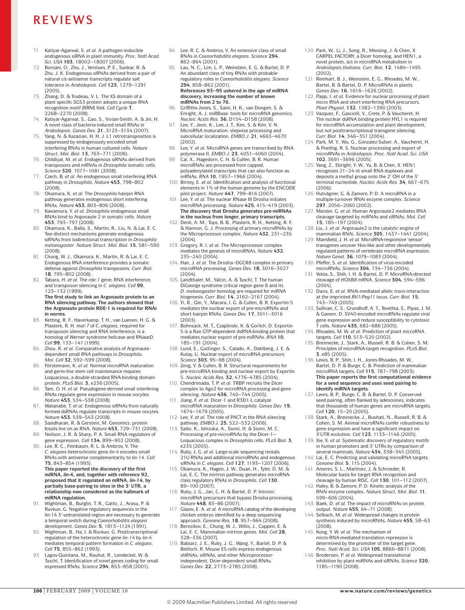- 71. Katiyar-Agarwal, S. *et al.* A pathogen-inducible endogenous siRNA in plant immunity. *Proc. Natl Acad. Sci. USA* **103**, 18002–18007 (2006).
- 72. Borsani, O., Zhu, J., Verslues, P. E., Sunkar, R. & Zhu, J. K. Endogenous siRNAs derived from a pair of natural *cis*-antisense transcripts regulate salt tolerance in *Arabidopsis*. *Cell* **123**, 1279–1291 (2005).
- 73. Zhang, D. & Trudeau, V. L. The XS domain of a plant specific SGS3 protein adopts a unique RNA recognition motif (RRM) fold. *Cell Cycle* **7**, 2268–2270 (2008).
- 74. Katiyar-Agarwal, S., Gao, S., Vivian-Smith, A. & Jin, H. A novel class of bacteria-induced small RNAs in
- *Arabidopsis*. *Genes Dev.* **21**, 3123–3134 (2007). 75. Yang, N. & Kazazian, H. H. J. L1 retrotransposition is suppressed by endogenously encoded small interfering RNAs in human cultured cells. *Nature Struct. Mol. Biol.* **13**, 763–771 (2006).
- 76. Ghildiyal, M. *et al.* Endogenous siRNAs derived from transposons and mRNAs in *Drosophila* somatic cells. *Science* **320**, 1077–1081 (2008).
- 77. Czech, B. *et al.* An endogenous small interfering RNA pathway in *Drosophila*. *Nature* **453**, 798–802 (2008).
- 78. Okamura, K. *et al.* The *Drosophila* hairpin RNA pathway generates endogenous short interfering RNAs. *Nature* **453**, 803–806 (2008).
- 79. Kawamura, Y. *et al. Drosophila* endogenous small RNAs bind to Argonaute 2 in somatic cells. *Nature* **453**, 793–797 (2008).
- 80. Okamura, K., Balla, S., Martin, R., Liu, N. & Lai, E. C. Two distinct mechanisms generate endogenous siRNAs from bidirectional transcription in *Drosophila melanogaster*. *Nature Struct. Mol. Biol.* **15**, 581–590 (2008).
- 81. Chung, W. J., Okamura, K., Martin, R. & Lai, E. C. Endogenous RNA interference provides a somatic defense against *Drosophila* transposons. *Curr. Biol.* **18**, 795–802 (2008).
- 82. Tabara, H. *et al.* The *rde‑1* gene, RNA interference, and transposon silencing in *C. elegans*. *Cell* **99**, 123–132 (1999). **The first study to link an Argonaute protein to an RNA silencing pathway. The authors showed that the Argonaute protein RDE-1 is required for RNAi**
- **in worms.** 83. Ketting, R. F., Haverkamp, T. H., van Luenen, H. G. & Plasterk, R. H. *mut‑7* of *C. elegans*, required for transposon silencing and RNA interference, is a homolog of Werner syndrome helicase and RNaseD. *Cell* **99**, 133–141 (1999).
- 84. Zhou, R. *et al.* Comparative analysis of Argonaute-dependent small RNA pathways in *Drosophila*. *Mol. Cell* **32**, 592–599 (2008).
- 85. Förstemann, K. *et al.* Normal microRNA maturation and germ-line stem cell maintenance requires Loquacious, a double-stranded RNA-binding domain protein. *PLoS Biol.* **3**, e236 (2005).
- 86. Tam, O. H. *et al.* Pseudogene-derived small interfering RNAs regulate gene expression in mouse oocytes. *Nature* **453**, 534–538 (2008).
- 87. Watanabe, T. *et al.* Endogenous siRNAs from naturally formed dsRNAs regulate transcripts in mouse oocytes. *Nature* **453**, 539–543 (2008).
- 88. Sasidharan, R. & Gerstein, M. Genomics: protein fossils live on as RNA. *Nature* **453**, 729–731 (2008).
- 89. Neilson, J. R. & Sharp, P. A. Small RNA regulators of gene expression. *Cell* **134**, 899–902 (2008). 90. Lee, R. C., Feinbaum, R. L. & Ambros, V. The
- *C. elegans* heterochronic gene *lin‑4* encodes small RNAs with antisense complementarity to *lin‑14*. *Cell* **75**, 843–854 (1993). **This paper reported the discovery of the first miRNA,** *lin-4***, and, together with reference 92,**
- **proposed that it regulated an mRNA,** *lin-14***, by partially base-pairing to sites in the 3**′ **UTR, a relationship now considered as the hallmark of miRNA regulation.**
- 91. Wightman, B., Burglin, T. R., Gatto, J., Arasu, P. & Ruvkun, G. Negative regulatory sequences in the lin-14 3′-untranslated region are necessary to generate a temporal switch during *Caenorhabditis elegans* development. *Genes Dev.* **5**, 1813–1124 (1991).
- 92. Wightman, B., Ha, I. & Ruvkun, G. Posttranscriptional regulation of the heterochronic gene *lin‑14* by *lin‑4* mediates temporal pattern formation in *C. elegans*. *Cell* **75**, 855–862 (1993).
- 93. Lagos-Quintana, M., Rauhut, R., Lendeckel, W. & Tuschl, T. Identification of novel genes coding for small expressed RNAs. *Science* **294**, 853–858 (2001).
- 94. Lee, R. C. & Ambros, V. An extensive class of small RNAs in *Caenorhabditis elegans*. *Science* **294**, 862–864 (2001).
- 95. Lau, N. C., Lim, L. P., Weinstein, E. G. & Bartel, D. P. An abundant class of tiny RNAs with probable regulatory roles in *Caenorhabditis elegans*. *Science* **294**, 858–862 (2001). **References 93–95 ushered in the age of miRNA**
- **discovery, increasing the number of known miRNAs from 2 to 76.** 96. Griffiths-Jones, S., Saini, H. K., van Dongen, S. &
- Enright, A. J. miRBase: tools for microRNA genomics. *Nucleic Acids Res.* **36**, D154–D158 (2008).
- 97. Lee, Y., Jeon, K., Lee, J. T., Kim, S. & Kim, V. N. MicroRNA maturation: stepwise processing and subcellular localization. *EMBO J.* **21**, 4663–4670  $(2002)$
- 98. Lee, Y. *et al.* MicroRNA genes are transcribed by RNA polymerase II. *EMBO J.* **23**, 4051–4060 (2004).
- 99. Cai, X., Hagedorn, C. H. & Cullen, B. R. Human microRNAs are processed from capped, polyadenylated transcripts that can also function as mRNAs. *RNA* **10**, 1957–1966 (2004).
- 100. Birney, E. *et al.* Identification and analysis of functional elements in 1% of the human genome by the ENCODE pilot project. *Nature* **447**, 799–816 (2007).
- 101. Lee, Y. *et al.* The nuclear RNase III Drosha initiates microRNA processing. *Nature* **425**, 415–419 (2003). **The discovery that Drosha generates pre-miRNAs**
- **in the nucleus from longer, primary transcripts.** 102. Denli, A. M., Tops, B. B., Plasterk, R. H., Ketting, R. F. & Hannon, G. J. Processing of primary microRNAs by the Microprocessor complex. *Nature* **432**, 231–235 (2004).
- 103. Gregory, R. I. *et al.* The Microprocessor complex mediates the genesis of microRNAs. *Nature* **432**, 235–240 (2004).
- 104. Han, J. *et al.* The Drosha–DGCR8 complex in primary microRNA processing. *Genes Dev.* **18**, 3016–3027  $(2004)$
- 105. Landthaler, M., Yalcin, A. & Tuschl, T. The human DiGeorge syndrome critical region gene 8 and its *D. melanogaster* homolog are required for miRNA biogenesis. *Curr. Biol.* **14**, 2162–2167 (2004).
- 106. Yi, R., Qin, Y., Macara, I. G. & Cullen, B. R. Exportin-5 mediates the nuclear export of pre-microRNAs and short hairpin RNAs. *Genes Dev.* **17**, 3011–3016 (2003).
- 107. Bohnsack, M. T., Czaplinski, K. & Gorlich, D. Exportin 5 is a Ran GTP-dependent dsRNA-binding protein that mediates nuclear export of pre-miRNAs. *RNA* **10**, 185–191 (2004).
- 108. Lund, E., Guttinger, S., Calado, A., Dahlberg, J. E. & Kutay, U. Nuclear export of microRNA precursors. *Science* **303**, 95–98 (2004).
- 109. Zeng, Y. & Cullen, B. R. Structural requirements for pre-microRNA binding and nuclear export by Exportin
- 5. *Nucleic Acids Res.* **32**, 4776–4785 (2004). 110. Chendrimada, T. P. *et al.* TRBP recruits the Dicer complex to Ago2 for microRNA processing and gene silencing. *Nature* **436**, 740–744 (2005).
- Jiang, F. et al. Dicer-1 and R3D1-L catalyze microRNA maturation in *Drosophila*. *Genes Dev.* **19**,
- 1674–1679 (2005). 112. Lee, Y. *et al.* The role of PACT in the RNA silencing pathway. *EMBO J.* **25**, 522–532 (2006).
- Saito, K., Ishizuka, A., Siomi, H. & Siomi, M. C. Processing of pre-microRNAs by the Dicer-1– Loquacious complex in *Drosophila* cells. *PLoS Biol.* **3**, e235 (2005).
- 114. Ruby, J. G. *et al.* Large-scale sequencing reveals 21U-RNAs and additional microRNAs and endogenous siRNAs in *C. elegans*. *Cell* **127**, 1193–1207 (2006).
- 115. Okamura, K., Hagen, J. W., Duan, H., Tyler, D. M. & Lai, E. C. The mirtron pathway generates microRNAclass regulatory RNAs in *Drosophila*. *Cell* **130**, 89–100 (2007).
- 116. Ruby, J. G., Jan, C. H. & Bartel, D. P. Intronic microRNA precursors that bypass Drosha processing. *Nature* **448**, 83–86 (2007).
- 117. Glazov, E. A. *et al.* A microRNA catalog of the developing chicken embryo identified by a deep sequencing approach. *Genome Res.* **18**, 957–964 (2008).
- 118. Berezikov, E., Chung, W. J., Willis, J., Cuppen, E. & Lai, E. C. Mammalian mirtron genes. *Mol. Cell* **28**, 328–336 (2007).
- 119. Babiarz, J. E., Ruby, J. G., Wang, Y., Bartel, D. P. & Blelloch, R. Mouse ES cells express endogenous shRNAs, siRNAs, and other Microprocessorindependent, Dicer-dependent small RNAs. *Genes Dev.* **22**, 2773–2785 (2008).
- 120. Park, W., Li, J., Song, R., Messing, J. & Chen, X. CARPEL FACTORY, a Dicer homolog, and HEN1, a novel protein, act in microRNA metabolism in *Arabidopsis thaliana*. *Curr. Biol.* **12**, 1484–1495 (2002).
- 121. Reinhart, B. J., Weinstein, E. G., Rhoades, M. W., Bartel, B. & Bartel, D. P. MicroRNAs in plants. *Genes Dev.* **16**, 1616–1626 (2002).
- 122. Papp, I. *et al.* Evidence for nuclear processing of plant micro RNA and short interfering RNA precursors. *Plant Physiol.* **132**, 1382–1390 (2003).
- 123. Vazquez, F., Gasciolli, V., Crete, P. & Vaucheret, H. The nuclear dsRNA binding protein HYL1 is required for microRNA accumulation and plant development, but not posttranscriptional transgene silencing. *Curr. Biol.* **14**, 346–351 (2004).
- 124. Park, M. Y., Wu, G., Gonzalez-Sulser, A., Vaucheret, H. & Poethig, R. S. Nuclear processing and export of microRNAs in *Arabidopsis*. *Proc. Natl Acad. Sci. USA* **102**, 3691–3696 (2005).
- 125. Yang, Z., Ebright, Y. W., Yu, B. & Chen, X. HEN1 recognizes 21–24 nt small RNA duplexes and deposits a methyl group onto the 2′ OH of the 3′ terminal nucleotide. *Nucleic Acids Res.* **34**, 667–675 (2006).
- 126. Hutvágner, G. & Zamore, P. D. A microRNA in a multiple-turnover RNAi enzyme complex. *Science* **297**, 2056–2060 (2002).
- 127. Meister, G. *et al.* Human Argonaute2 mediates RNA cleavage targeted by miRNAs and siRNAs. *Mol. Cell* **15**, 185–197 (2004).
- 128. Liu, J. *et al.* Argonaute2 is the catalytic engine of mammalian RNAi. *Science* **305**, 1437–1441 (2004).
- 129. Mansfield, J. H. *et al.* MicroRNA-responsive 'sensor' transgenes uncover Hox-like and other developmentally regulated patterns of vertebrate microRNA expression. *Nature Genet.* **36**, 1079–1083 (2004).
- 130. Pfeffer, S. *et al.* Identification of virus-encoded microRNAs. *Science* **304**, 734–736 (2004).
- 131. Yekta, S., Shih, I. H. & Bartel, D. P. MicroRNA-directed cleavage of *HOXB8* mRNA. *Science* **304**, 594–596
- (2004). 132. Davis, E. *et al.* RNAi-mediated allelic *trans*-interaction at the imprinted *Rtl1*/*Peg11* locus. *Curr. Biol.* **15**, 743–749 (2005).
- 133. Sullivan, C. S., Grundhoff, A. T., Tevethia, S., Pipas, J. M. & Ganem, D. SV40-encoded microRNAs regulate viral gene expression and reduce susceptibility to cytotoxic T cells. *Nature* **435**, 682–686 (2005).
- 134. Rhoades, M. W. *et al.* Prediction of plant microRNA targets. *Cell* **110**, 513–520 (2002).
- 135. Brennecke, J., Stark, A., Russell, R. B. & Cohen, S. M. Principles of microRNA-target recognition. *PLoS Biol.* **3**, e85 (2005).
- 136. Lewis, B. P., Shih, I. H., Jones-Rhoades, M. W., Bartel, D. P. & Burge, C. B. Prediction of mammalian microRNA targets. *Cell* **115**, 787–798 (2003). **This paper reports the first computational evidence for a seed sequence and uses seed pairing to identify miRNA targets.**
- 137. Lewis, B. P., Burge, C. B. & Bartel, D. P. Conserved seed pairing, often flanked by adenosines, indicates that thousands of human genes are microRNA targets.
- *Cell* **120**, 15–20 (2005). 138. Stark, A., Brennecke, J., Bushati, N., Russell, R. B. & Cohen, S. M. Animal microRNAs confer robustness to gene expression and have a significant impact on 3′UTR evolution. *Cell* **123**, 1133–1146 (2005).
- 139. Xie, X. *et al.* Systematic discovery of regulatory motifs in human promoters and 3′ UTRs by comparison of several mammals. *Nature* **434**, 338–345 (2005).
- 140. Lai, E. C. Predicting and validating microRNA targets. *Genome Biol.* **5**, 115 (2004).
- 141. Ameres, S. L., Martinez, J. & Schroeder, R. Molecular basis for target RNA recognition and cleavage by human RISC. *Cell* **130**, 101–112 (2007).
- 142. Haley, B. & Zamore, P. D. Kinetic analysis of the RNAi enzyme complex. *Nature Struct. Mol. Biol.* **11**, 599–606 (2004).
- 143. Baek, D. *et al.* The impact of microRNAs on protein output. *Nature* **455**, 64–71 (2008).
- 144. Selbach, M. *et al.* Widespread changes in protein synthesis induced by microRNAs. *Nature* **455**, 58–63 (2008).
- 145. Kong, Y. W. *et al.* The mechanism of micro-RNA-mediated translation repression is determined by the promoter of the target gene. *Proc. Natl Acad. Sci. USA* **105**, 8866–8871 (2008).
- 146. Brodersen, P. *et al.* Widespread translational inhibition by plant miRNAs and siRNAs. *Science* **320**, 1185–1190 (2008).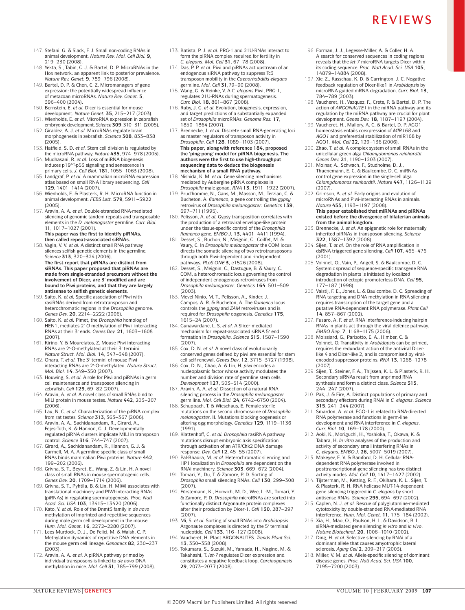- 147. Stefani, G. & Slack, F. J. Small non-coding RNAs in animal development. *Nature Rev. Mol. Cell Biol.* **9**, 219–230 (2008).
- 148. Yekta, S., Tabin, C. J. & Bartel, D. P. MicroRNAs in the Hox network: an apparent link to posterior prevalence. *Nature Rev. Genet.* **9**, 789–796 (2008).
- 149. Bartel, D. P. & Chen, C. Z. Micromanagers of gene expression: the potentially widespread influence of metazoan microRNAs. *Nature Rev. Genet.* **5**, 396–400 (2004).
- 150. Bernstein, E. *et al.* Dicer is essential for mouse development. *Nature Genet.* **35**, 215–217 (2003).
- 151. Wienholds, E. *et al.* MicroRNA expression in zebrafish embryonic development. *Science* **309**, 310–311 (2005).
- 152. Giraldez, A. J. *et al.* MicroRNAs regulate brain morphogenesis in zebrafish. *Science* **308**, 833–838 (2005).
- 153. Hatfield, S. D. *et al.* Stem cell division is regulated by the microRNA pathway. *Nature* **435**, 974–978 (2005).
- 154. Mudhasani, R. *et al.* Loss of miRNA biogenesis induces p19Arf-p53 signaling and senescence in primary cells. *J. Cell Biol.* **181**, 1055–1063 (2008).
- 155. Landgraf, P. *et al.* A mammalian microRNA expression atlas based on small RNA library sequencing. *Cell* **129**, 1401–1414 (2007).
- 156. Wienholds, F. & Plasterk, R. H. MicroRNA function in animal development. *FEBS Lett.* **579**, 5911–5922 (2005).
- 157. Aravin, A. A. *et al.* Double-stranded RNA-mediated silencing of genomic tandem repeats and transposable elements in the *D. melanogaster* germline. *Curr. Biol.* **11**, 1017–1027 (2001). **This paper was the first to identify piRNAs,**
- **then called repeat-associated siRNAs.** 158. Vagin, V. V. *et al.* A distinct small RNA pathway silences selfish genetic elements in the germline. *Science* **313**, 320–324 (2006). **The first report that piRNAs are distinct from siRNAs. This paper proposed that piRNAs are made from single-stranded precursors without the involvement of Dicer, are 3**′ **modified and are bound to Piwi proteins, and that they are largely antisense to selfish genetic elements.**
- 159. Saito, K. *et al.* Specific association of Piwi with rasiRNAs derived from retrotransposon and heterochromatic regions in the *Drosophila* genome. *Genes Dev.* **20**, 2214–2222 (2006).
- 160. Saito, K. *et al.* Pimet, the *Drosophila* homolog of HEN1, mediates 2′-*O*-methylation of Piwi- interacting RNAs at their 3′ ends. *Genes Dev.* **21**, 1603–1608 (2007).
- 161. Kirino, Y. & Mourelatos, Z. Mouse Piwi-interacting RNAs are 2′-O-methylated at their 3′ termini. *Nature Struct. Mol. Biol.* **14**, 347–348 (2007).
- 162. Ohara, T. *et al.* The 3′ termini of mouse Piwiinteracting RNAs are 2′-O-methylated. *Nature Struct. Mol. Biol.* **14**, 349–350 (2007).
- 163. Houwing, S. *et al.* A role for Piwi and piRNAs in germ cell maintenance and transposon silencing in zebrafish. *Cell* **129**, 69–82 (2007).
- 164. Aravin, A. *et al.* A novel class of small RNAs bind to MILI protein in mouse testes. *Nature* **442**, 203–207 (2006).
- 165. Lau, N. C. *et al.* Characterization of the piRNA complex from rat testes. *Science* **313**, 363–367 (2006).
- 166. Aravin, A. A., Sachidanandam, R., Girard, A., Fejes-Toth, K. & Hannon, G. J. Developmentally regulated piRNA clusters implicate MILI in transposon
- control. *Science* **316**, 744–747 (2007). 167. Girard, A., Sachidanandam, R., Hannon, G. J. & Carmell, M. A. A germline-specific class of small RNAs binds mammalian Piwi proteins. *Nature* **442**, 199–202 (2006).
- 168. Grivna, S. T., Beyret, E., Wang, Z. & Lin, H. A novel class of small RNAs in mouse spermatogenic cells. *Genes Dev.* **20**, 1709–1714 (2006).
- 169. Grivna, S. T., Pyhtila, B. & Lin, H. MIWI associates with translational machinery and PIWI-interacting RNAs (piRNAs) in regulating spermatogenesis. *Proc. Natl Acad. Sci. USA* **103**, 13415–13420 (2006).
- 170. Kato, Y. *et al.* Role of the Dnmt3 family in *de novo* methylation of imprinted and repetitive sequences during male germ cell development in the mouse. *Hum. Mol. Genet.* **16**, 2272–2280 (2007).
- 171. Lees-Murdock, D. J., De Felici, M. & Walsh, C. P. Methylation dynamics of repetitive DNA elements in the mouse germ cell lineage. *Genomics* **82**, 230–237 (2003).
- 172. Aravin, A. A. *et al.* A piRNA pathway primed by individual transposons is linked to *de novo* DNA methylation in mice. *Mol. Cell* **31**, 785–799 (2008).
- 173. Batista, P. J. *et al.* PRG-1 and 21U-RNAs interact to form the piRNA complex required for fertility in *C. elegans*. *Mol. Cell* **31**, 67–78 (2008).
- 174. Das, P. P. *et al.* Piwi and piRNAs act upstream of an endogenous siRNA pathway to suppress Tc3 transposon mobility in the *Caenorhabditis elegans* germline. *Mol. Cell* **31**,79–90 (2008).
- 175. Wang, G. & Reinke, V. A *C. elegans* Piwi, PRG-1, regulates 21U-RNAs during spermatogenesis. *Curr. Biol.* **18**, 861–867 (2008).
- 176. Ruby, J. G. *et al.* Evolution, biogenesis, expression, and target predictions of a substantially expanded set of *Drosophila* microRNAs. *Genome Res.* **17**, 1850–1864 (2007).
- 177. Brennecke, J. *et al.* Discrete small RNA-generating loci as master regulators of transposon activity in *Drosophila*. *Cell* **128**, 1089–1103 (2007). **This paper, along with reference 184, proposed the 'ping-pong' model for piRNA biogenesis. The authors were the first to use high-throughput sequencing data to deduce the biogenesis mechanism of a small RNA pathway.**
- 178. Nishida, K. M. *et al.* Gene silencing mechanisms mediated by Aubergine piRNA complexes in *Drosophila* male gonad. *RNA* **13**, 1911–1922 (2007).
- 179. Prud'homme, N., Gans, M., Masson, M., Terzian, C. & Bucheton, A. *flamenco*, a gene controlling the *gypsy* retrovirus of *Drosophila melanogaster*. *Genetics* **139**, 697–711 (1995).
- 180. Pelisson, A. *et al.* Gypsy transposition correlates with the production of a retroviral envelope-like protein under the tissue-specific control of the *Drosophila flamenco* gene. *EMBO J.* **13**, 4401–4411 (1994).
- 181. Desset, S., Buchon, N., Meignin, C., Coiffet, M. & Vaury, C. In *Drosophila melanogaster* the COM locus directs the somatic silencing of two retrotransposons through both Piwi-dependent and -independent pathways. *PLoS ONE* **3**, e1526 (2008).
- 182. Desset, S., Meignin, C., Dastugue, B. & Vaury, C. COM, a heterochromatic locus governing the control of independent endogenous retroviruses from *Drosophila melanogaster*. *Genetics* **164**, 501–509 (2003).
- 183. Mevel-Ninio, M. T., Pelisson, A., Kinder, J., Campos, A. R. & Bucheton, A. The *flamenco* locus controls the *gypsy* and *ZAM* retroviruses and is required for *Drosophila* oogenesis. *Genetics* **175**, 1615–24 (2007).
- 184. Gunawardane, L. S. *et al.* A Slicer-mediated mechanism for repeat-associated siRNA 5′ end formation in *Drosophila*. *Science* **315**, 1587–1590  $(2007)$
- 185. Cox, D. N. *et al.* A novel class of evolutionarily conserved genes defined by piwi are essential for stem cell self-renewal. *Genes Dev*. **12**, 3715–3727 (1998).
- 186. Cox, D. N., Chao, A. & Lin, H. *piwi* encodes a nucleoplasmic factor whose activity modulates the number and division rate of germline stem cells. *Development* **127**, 503–514 (2000).
- 187. Aravin, A. A. *et al.* Dissection of a natural RNA silencing process in the *Drosophila melanogaste* germ line. *Mol. Cell Biol.* **24**, 6742–6750 (2004).
- 188. Schupbach, T. & Wieschaus, E. Female sterile mutations on the second chromosome of *Drosophila melanogaster*. II. Mutations blocking oogenesis or altering egg morphology. *Genetics* **129**, 1119–1136 (1991).
- 189. Klattenhoff, C. *et al. Drosophila* rasiRNA pathway mutations disrupt embryonic axis specification through activation of an ATR/Chk2 DNA damage response. *Dev. Cell* **12**, 45–55 (2007).
- 190. Pal-Bhadra, M. *et al.* Heterochromatic silencing and HP1 localization in *Drosophila* are dependent on the RNAi machinery. *Science* **303**, 669–672 (2004). 191. Tomari, Y., Du, T. & Zamore, P. D. Sorting of
- *Drosophila* small silencing RNAs. *Cell* **130**, 299–308 (2007).
- 192. Förstemann, K., Horwich, M. D., Wee, L.-M., Tomari, Y. & Zamore, P. D. *Drosophila* microRNAs are sorted into functionally distinct Argonaute protein complexes after their production by Dicer-1. *Cell* **130**, 287–297 (2007).
- 193. Mi, S. *et al.* Sorting of small RNAs into *Arabidopsis* Argonaute complexes is directed by the 5′ terminal
- nucleotide. *Cell* **133**, 116–127 (2008). 194. Vaucheret, H. Plant ARGONAUTES. *Trends Plant Sci.* **13**, 350–358 (2008).
- 195. Tokumaru, S., Suzuki, M., Yamada, H., Nagino, M. & Takahashi, T. *let‑7* regulates Dicer expression and constitutes a negative feedback loop. *Carcinogenesis* **29**, 2073–2077 (2008).
- 196. Forman, J. J., Legesse-Miller, A. & Coller, H. A. A search for conserved sequences in coding regions reveals that the *let‑7* microRNA targets Dicer within its coding sequence. *Proc. Natl Acad. Sci. USA* **105**, 14879–14884 (2008).
- 197. Xie, Z., Kasschau, K. D. & Carrington, J. C. Negative feedback regulation of Dicer-like1 in *Arabidopsis* by microRNA-guided mRNA degradation. *Curr. Biol.* **13**, 784–789 (2003).
- 198. Vaucheret, H., Vazquez, F., Crete, P. & Bartel, D. P. The action of *ARGONAUTE1* in the miRNA pathway and its regulation by the miRNA pathway are crucial for plant development. *Genes Dev.* **18**, 1187–1197 (2004).
- 199. Vaucheret, H., Mallory, A. C. & Bartel, D. P. AGO1 homeostasis entails coexpression of *MIR168* and *AGO1* and preferential stabilization of miR168 by AGO1. *Mol. Cell* **22**, 129–136 (2006).
- 200. Zhao, T. *et al.* A complex system of small RNAs in the unicellular green alga *Chlamydomonas reinhardtii*. *Genes Dev.* **21**, 1190–1203 (2007). 201. Molnar, A., Schwach, F., Studholme, D. J.,
- Thuenemann, E. C. & Baulcombe, D. C. miRNAs control gene expression in the single-cell alga *Chlamydomonas reinhardtii*. *Nature* **447**, 1126–1129 (2007).
- 202. Grimson, A. *et al.* Early origins and evolution of microRNAs and Piwi-interacting RNAs in animals. *Nature* **455**, 1193–1197 (2008). **This paper established that miRNAs and piRNAs existed before the divergence of bilaterian animals**
- **from the animal kingdom.** 203. Brennecke, J. *et al.* An epigenetic role for maternally inherited piRNAs in transposon silencing. *Science* **322**, 1387–1392 (2008).
- 204. Sijen, T. *et al.* On the role of RNA amplification in dsRNA-triggered gene silencing. *Cell* **107**, 465–476 (2001).
- 205. Voinnet, O., Vain, P., Angell, S. & Baulcombe, D. C. Systemic spread of sequence-specific transgene RNA degradation in plants is initiated by localized introduction of ectopic promoterless DNA. *Cell* **95**,
- 177–187 (1998). 206. Vaistij, F. E., Jones, L. & Baulcombe, D. C. Spreading of RNA targeting and DNA methylation in RNA silencing requires transcription of the target gene and a putative RNA-dependent RNA polymerase. *Plant Cell* **14**, 857–867 (2002).
- 207. Fusaro, A. F. *et al.* RNA interference-inducing hairpin RNAs in plants act through the viral defence pathway. *EMBO Rep.* **7**, 1168–1175 (2006).
- 208. Moissiard, G., Parizotto, E. A., Himber, C. & Voinnet, O. Transitivity in *Arabidopsis* can be primed, requires the redundant action of the antiviral Dicer-like 4 and Dicer-like 2, and is compromised by viralencoded suppressor proteins. *RNA* **13**, 1268–1278 (2007).
- 209. Sijen, T., Steiner, F. A., Thijssen, K. L. & Plasterk, R. H. Secondary siRNAs result from unprimed RNA synthesis and form a distinct class. *Science* **315**, 244–247 (2007).
- 210. Pak, J. & Fire, A. Distinct populations of primary and secondary effectors during RNAi in *C. elegans*. *Science* **315**, 241–244 (2007).
- 211. Smardon, A. *et al.* EGO-1 is related to RNA-directed RNA polymerase and functions in germ-line development and RNA interference in *C. elegans*. *Curr. Biol.* **10**, 169–178 (2000).
- 212. Aoki, K., Moriguchi, H., Yoshioka, T., Okawa, K. & Tabara, H. *In vitro* analyses of the production and activity of secondary small interfering RNAs in *C. elegans*. *EMBO J.* **26**, 5007–5019 (2007).
- 213. Makeyev, E. V. & Bamford, D. H. Cellular RNAdependent RNA polymerase involved in posttranscriptional gene silencing has two distinct activity modes. *Mol. Cell* **10**, 1417–1427 (2002).
- 214. Tijsterman, M., Ketting, R. F., Okihara, K. L., Sijen, T. & Plasterk, R. H. RNA helicase MUT-14-dependent gene silencing triggered in *C. elegans* by short antisense RNAs. *Science* **295**, 694–697 (2002).
- 215. Caplen, N. J. *et al.* Rescue of polyglutamine-mediated cytotoxicity by double-stranded RNA-mediated RNA interference. *Hum. Mol. Genet.* **11**, 175–184 (2002).
- 216. Xia, H., Mao, Q., Paulson, H. L. & Davidson, B. L. siRNA-mediated gene silencing *in vitro* and *in vivo*. *Nature Biotechnol.* **20**, 1006–1010 (2002).
- 217. Ding, H. *et al.* Selective silencing by RNAi of a dominant allele that causes amyotrophic lateral sclerosis. *Aging Cell* **2**, 209–217 (2003).
- 218. Miller, V. M. *et al.* Allele-specific silencing of dominant disease genes. *Proc. Natl Acad. Sci. USA* **100**, 7195–7200 (2003).